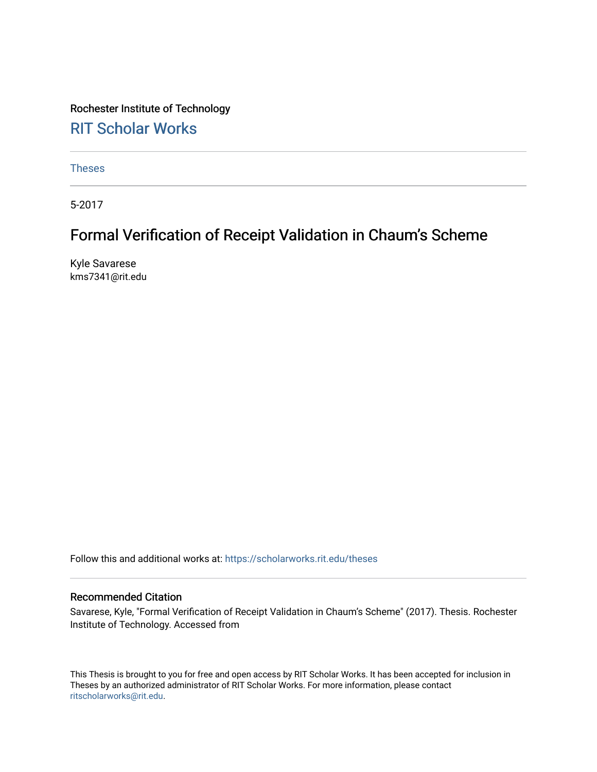Rochester Institute of Technology [RIT Scholar Works](https://scholarworks.rit.edu/)

[Theses](https://scholarworks.rit.edu/theses) 

5-2017

### Formal Verification of Receipt Validation in Chaum's Scheme

Kyle Savarese kms7341@rit.edu

Follow this and additional works at: [https://scholarworks.rit.edu/theses](https://scholarworks.rit.edu/theses?utm_source=scholarworks.rit.edu%2Ftheses%2F9466&utm_medium=PDF&utm_campaign=PDFCoverPages) 

#### Recommended Citation

Savarese, Kyle, "Formal Verification of Receipt Validation in Chaum's Scheme" (2017). Thesis. Rochester Institute of Technology. Accessed from

This Thesis is brought to you for free and open access by RIT Scholar Works. It has been accepted for inclusion in Theses by an authorized administrator of RIT Scholar Works. For more information, please contact [ritscholarworks@rit.edu](mailto:ritscholarworks@rit.edu).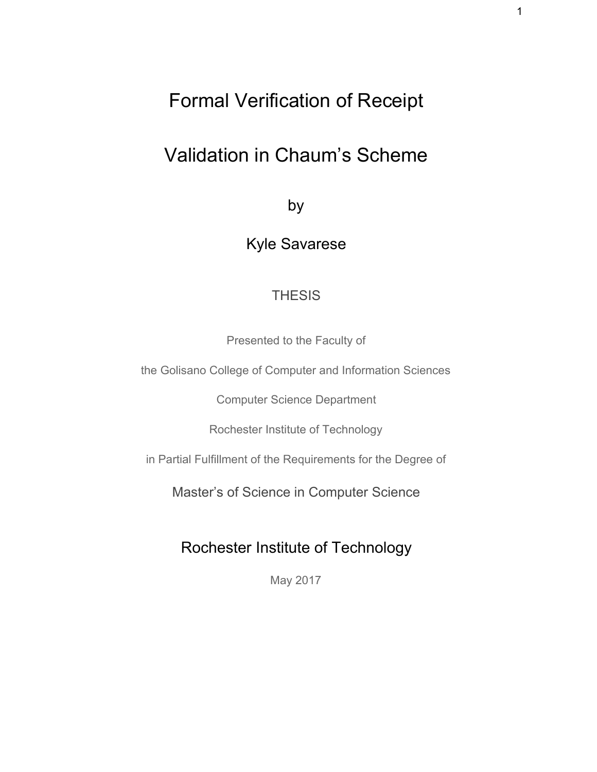# Formal Verification of Receipt

# Validation in Chaum's Scheme

by

Kyle Savarese

#### **THESIS**

Presented to the Faculty of

the Golisano College of Computer and Information Sciences

Computer Science Department

Rochester Institute of Technology

in Partial Fulfillment of the Requirements for the Degree of

Master's of Science in Computer Science

### Rochester Institute of Technology

May 2017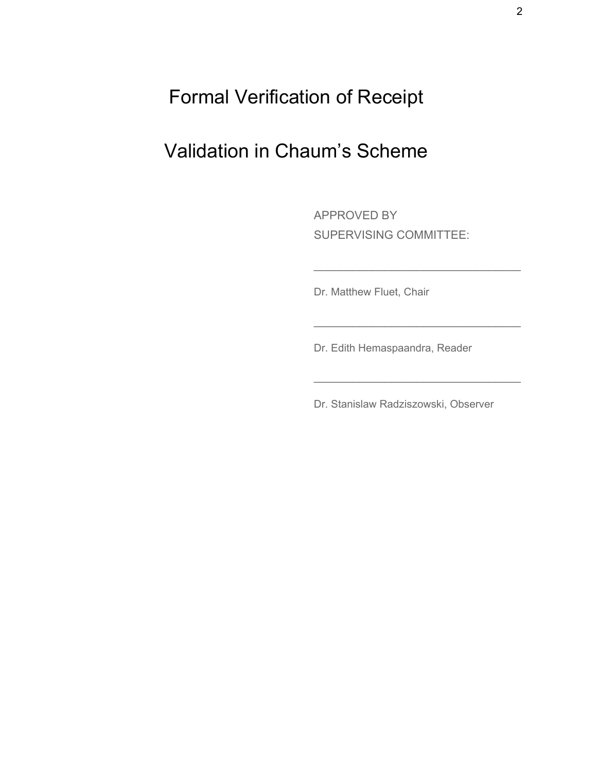Formal Verification of Receipt

# Validation in Chaum's Scheme

APPROVED BY SUPERVISING COMMITTEE:

\_\_\_\_\_\_\_\_\_\_\_\_\_\_\_\_\_\_\_\_\_\_\_\_\_\_\_\_\_\_\_\_

\_\_\_\_\_\_\_\_\_\_\_\_\_\_\_\_\_\_\_\_\_\_\_\_\_\_\_\_\_\_\_\_

\_\_\_\_\_\_\_\_\_\_\_\_\_\_\_\_\_\_\_\_\_\_\_\_\_\_\_\_\_\_\_\_

Dr. Matthew Fluet, Chair

Dr. Edith Hemaspaandra, Reader

Dr. Stanislaw Radziszowski, Observer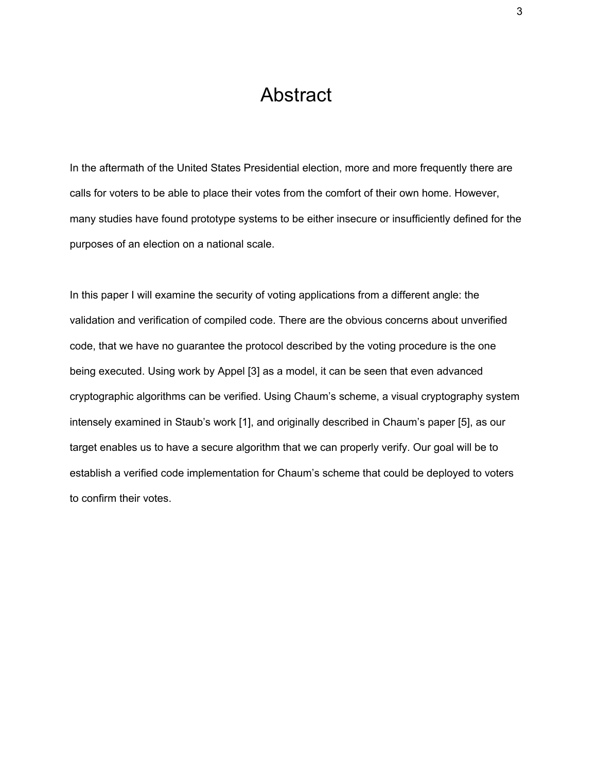### Abstract

<span id="page-3-0"></span>In the aftermath of the United States Presidential election, more and more frequently there are calls for voters to be able to place their votes from the comfort of their own home. However, many studies have found prototype systems to be either insecure or insufficiently defined for the purposes of an election on a national scale.

In this paper I will examine the security of voting applications from a different angle: the validation and verification of compiled code. There are the obvious concerns about unverified code, that we have no guarantee the protocol described by the voting procedure is the one being executed. Using work by Appel [3] as a model, it can be seen that even advanced cryptographic algorithms can be verified. Using Chaum's scheme, a visual cryptography system intensely examined in Staub's work [1], and originally described in Chaum's paper [5], as our target enables us to have a secure algorithm that we can properly verify. Our goal will be to establish a verified code implementation for Chaum's scheme that could be deployed to voters to confirm their votes.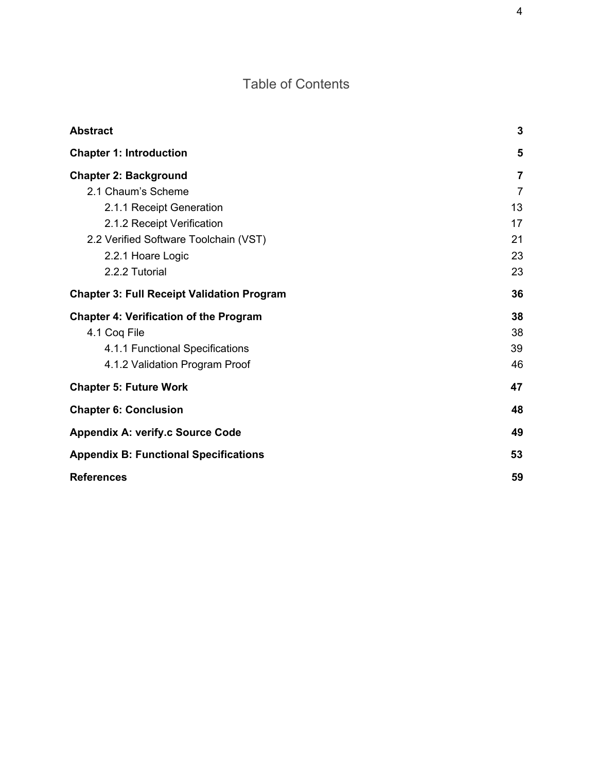### Table of Contents

| <b>Abstract</b>                                   | 3  |
|---------------------------------------------------|----|
| <b>Chapter 1: Introduction</b>                    | 5  |
| <b>Chapter 2: Background</b>                      | 7  |
| 2.1 Chaum's Scheme                                | 7  |
| 2.1.1 Receipt Generation                          | 13 |
| 2.1.2 Receipt Verification                        | 17 |
| 2.2 Verified Software Toolchain (VST)             | 21 |
| 2.2.1 Hoare Logic                                 | 23 |
| 2.2.2 Tutorial                                    | 23 |
| <b>Chapter 3: Full Receipt Validation Program</b> | 36 |
| <b>Chapter 4: Verification of the Program</b>     | 38 |
| 4.1 Cog File                                      | 38 |
| 4.1.1 Functional Specifications                   | 39 |
| 4.1.2 Validation Program Proof                    | 46 |
| <b>Chapter 5: Future Work</b>                     | 47 |
| <b>Chapter 6: Conclusion</b>                      | 48 |
| <b>Appendix A: verify.c Source Code</b>           | 49 |
| <b>Appendix B: Functional Specifications</b>      | 53 |
| <b>References</b>                                 | 59 |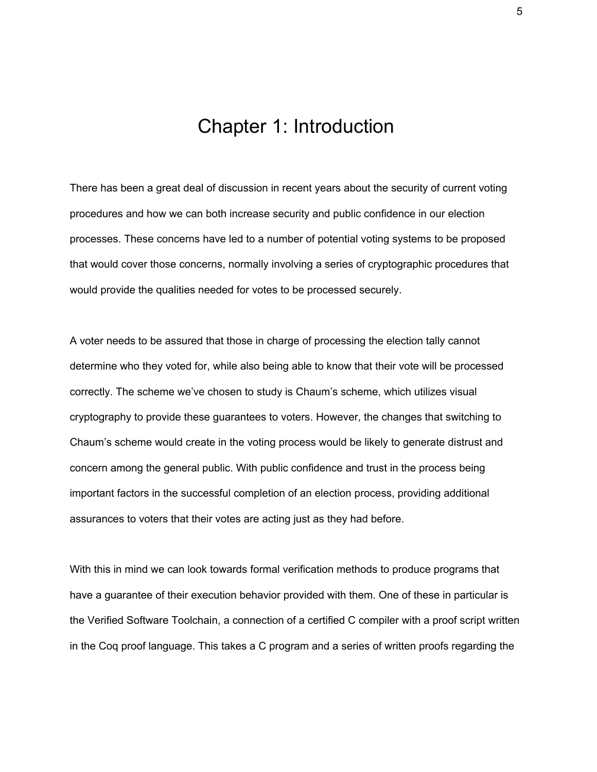## Chapter 1: Introduction

<span id="page-5-0"></span>There has been a great deal of discussion in recent years about the security of current voting procedures and how we can both increase security and public confidence in our election processes. These concerns have led to a number of potential voting systems to be proposed that would cover those concerns, normally involving a series of cryptographic procedures that would provide the qualities needed for votes to be processed securely.

A voter needs to be assured that those in charge of processing the election tally cannot determine who they voted for, while also being able to know that their vote will be processed correctly. The scheme we've chosen to study is Chaum's scheme, which utilizes visual cryptography to provide these guarantees to voters. However, the changes that switching to Chaum's scheme would create in the voting process would be likely to generate distrust and concern among the general public. With public confidence and trust in the process being important factors in the successful completion of an election process, providing additional assurances to voters that their votes are acting just as they had before.

With this in mind we can look towards formal verification methods to produce programs that have a guarantee of their execution behavior provided with them. One of these in particular is the Verified Software Toolchain, a connection of a certified C compiler with a proof script written in the Coq proof language. This takes a C program and a series of written proofs regarding the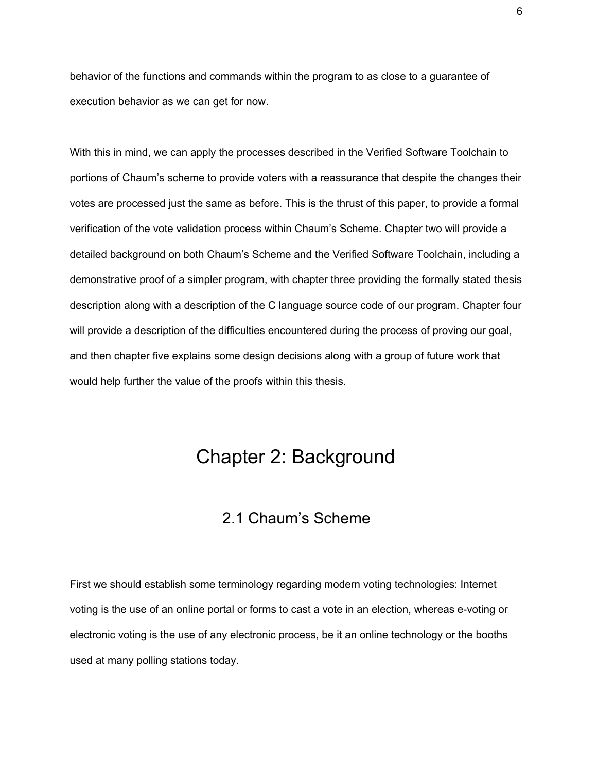behavior of the functions and commands within the program to as close to a guarantee of execution behavior as we can get for now.

With this in mind, we can apply the processes described in the Verified Software Toolchain to portions of Chaum's scheme to provide voters with a reassurance that despite the changes their votes are processed just the same as before. This is the thrust of this paper, to provide a formal verification of the vote validation process within Chaum's Scheme. Chapter two will provide a detailed background on both Chaum's Scheme and the Verified Software Toolchain, including a demonstrative proof of a simpler program, with chapter three providing the formally stated thesis description along with a description of the C language source code of our program. Chapter four will provide a description of the difficulties encountered during the process of proving our goal, and then chapter five explains some design decisions along with a group of future work that would help further the value of the proofs within this thesis.

### <span id="page-6-1"></span>Chapter 2: Background

### 2.1 Chaum's Scheme

<span id="page-6-0"></span>First we should establish some terminology regarding modern voting technologies: Internet voting is the use of an online portal or forms to cast a vote in an election, whereas e-voting or electronic voting is the use of any electronic process, be it an online technology or the booths used at many polling stations today.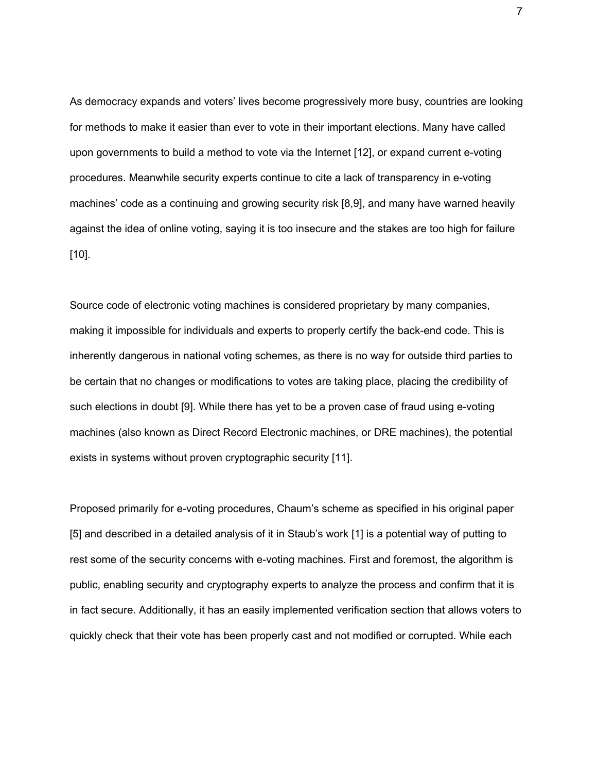As democracy expands and voters' lives become progressively more busy, countries are looking for methods to make it easier than ever to vote in their important elections. Many have called upon governments to build a method to vote via the Internet [12], or expand current e-voting procedures. Meanwhile security experts continue to cite a lack of transparency in e-voting machines' code as a continuing and growing security risk [8,9], and many have warned heavily against the idea of online voting, saying it is too insecure and the stakes are too high for failure  $[10]$ .

Source code of electronic voting machines is considered proprietary by many companies, making it impossible for individuals and experts to properly certify the back-end code. This is inherently dangerous in national voting schemes, as there is no way for outside third parties to be certain that no changes or modifications to votes are taking place, placing the credibility of such elections in doubt [9]. While there has yet to be a proven case of fraud using e-voting machines (also known as Direct Record Electronic machines, or DRE machines), the potential exists in systems without proven cryptographic security [11].

Proposed primarily for e-voting procedures, Chaum's scheme as specified in his original paper [5] and described in a detailed analysis of it in Staub's work [1] is a potential way of putting to rest some of the security concerns with e-voting machines. First and foremost, the algorithm is public, enabling security and cryptography experts to analyze the process and confirm that it is in fact secure. Additionally, it has an easily implemented verification section that allows voters to quickly check that their vote has been properly cast and not modified or corrupted. While each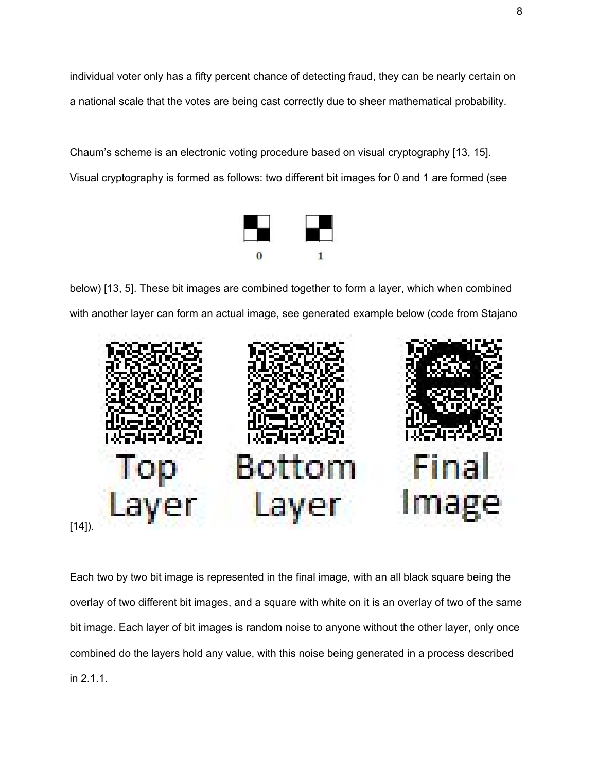individual voter only has a fifty percent chance of detecting fraud, they can be nearly certain on a national scale that the votes are being cast correctly due to sheer mathematical probability.

Chaum's scheme is an electronic voting procedure based on visual cryptography [13, 15]. Visual cryptography is formed as follows: two different bit images for 0 and 1 are formed (see



below) [13, 5]. These bit images are combined together to form a layer, which when combined with another layer can form an actual image, see generated example below (code from Stajano



Each two by two bit image is represented in the final image, with an all black square being the overlay of two different bit images, and a square with white on it is an overlay of two of the same bit image. Each layer of bit images is random noise to anyone without the other layer, only once combined do the layers hold any value, with this noise being generated in a process described in 2.1.1.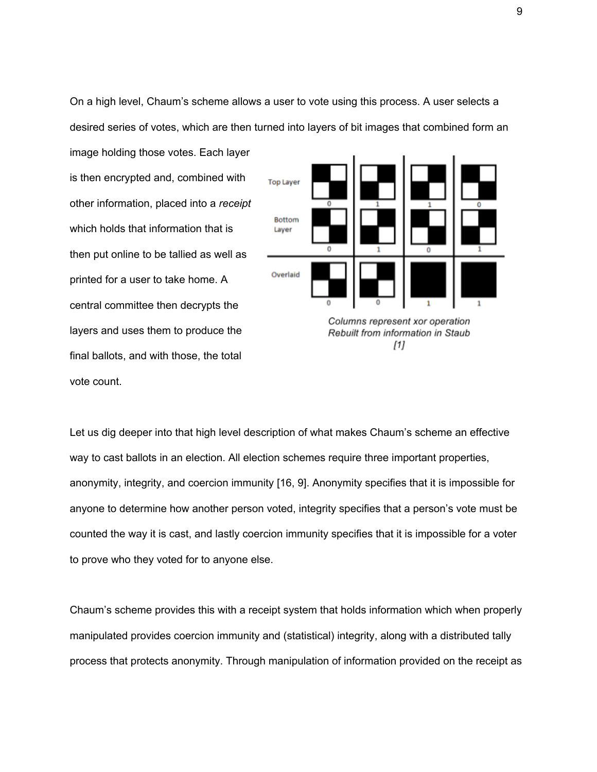On a high level, Chaum's scheme allows a user to vote using this process. A user selects a desired series of votes, which are then turned into layers of bit images that combined form an

image holding those votes. Each layer is then encrypted and, combined with other information, placed into a *receipt* which holds that information that is then put online to be tallied as well as printed for a user to take home. A central committee then decrypts the layers and uses them to produce the final ballots, and with those, the total vote count.



Let us dig deeper into that high level description of what makes Chaum's scheme an effective way to cast ballots in an election. All election schemes require three important properties, anonymity, integrity, and coercion immunity [16, 9]. Anonymity specifies that it is impossible for anyone to determine how another person voted, integrity specifies that a person's vote must be counted the way it is cast, and lastly coercion immunity specifies that it is impossible for a voter to prove who they voted for to anyone else.

Chaum's scheme provides this with a receipt system that holds information which when properly manipulated provides coercion immunity and (statistical) integrity, along with a distributed tally process that protects anonymity. Through manipulation of information provided on the receipt as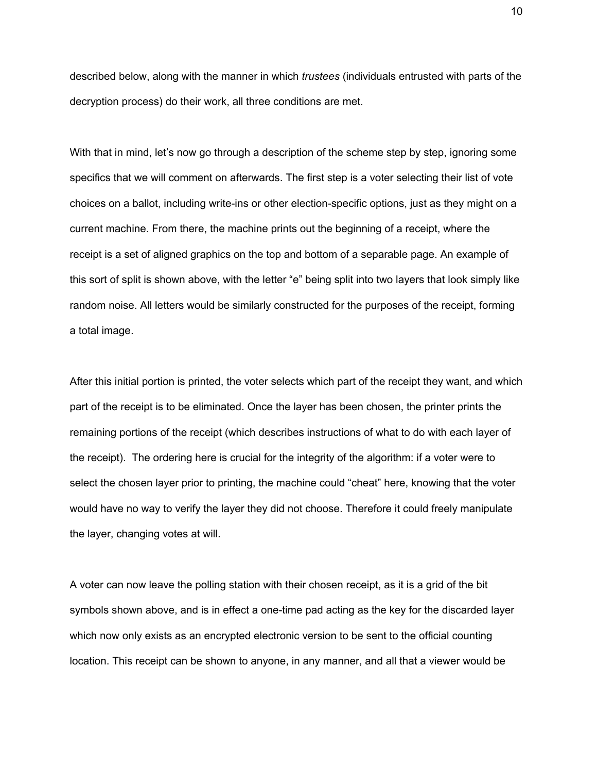described below, along with the manner in which *trustees* (individuals entrusted with parts of the decryption process) do their work, all three conditions are met.

With that in mind, let's now go through a description of the scheme step by step, ignoring some specifics that we will comment on afterwards. The first step is a voter selecting their list of vote choices on a ballot, including write-ins or other election-specific options, just as they might on a current machine. From there, the machine prints out the beginning of a receipt, where the receipt is a set of aligned graphics on the top and bottom of a separable page. An example of this sort of split is shown above, with the letter "e" being split into two layers that look simply like random noise. All letters would be similarly constructed for the purposes of the receipt, forming a total image.

After this initial portion is printed, the voter selects which part of the receipt they want, and which part of the receipt is to be eliminated. Once the layer has been chosen, the printer prints the remaining portions of the receipt (which describes instructions of what to do with each layer of the receipt). The ordering here is crucial for the integrity of the algorithm: if a voter were to select the chosen layer prior to printing, the machine could "cheat" here, knowing that the voter would have no way to verify the layer they did not choose. Therefore it could freely manipulate the layer, changing votes at will.

A voter can now leave the polling station with their chosen receipt, as it is a grid of the bit symbols shown above, and is in effect a one-time pad acting as the key for the discarded layer which now only exists as an encrypted electronic version to be sent to the official counting location. This receipt can be shown to anyone, in any manner, and all that a viewer would be

10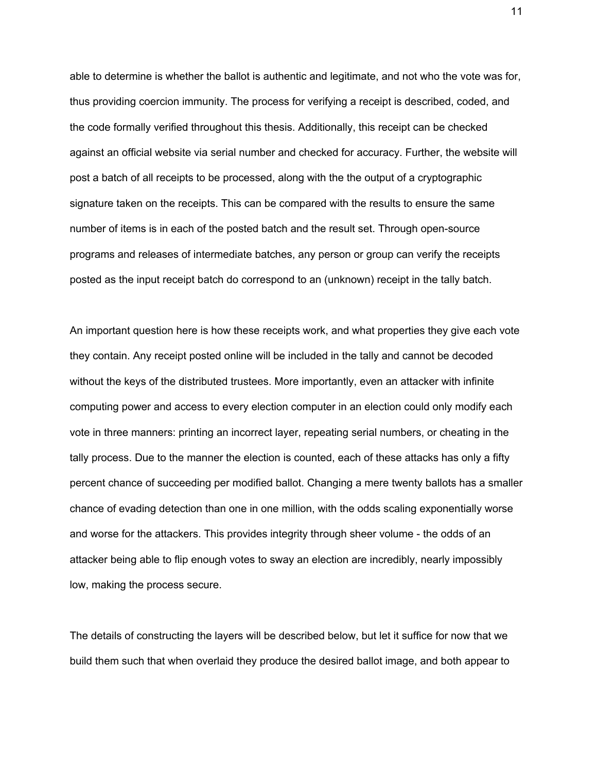able to determine is whether the ballot is authentic and legitimate, and not who the vote was for, thus providing coercion immunity. The process for verifying a receipt is described, coded, and the code formally verified throughout this thesis. Additionally, this receipt can be checked against an official website via serial number and checked for accuracy. Further, the website will post a batch of all receipts to be processed, along with the the output of a cryptographic signature taken on the receipts. This can be compared with the results to ensure the same number of items is in each of the posted batch and the result set. Through open-source programs and releases of intermediate batches, any person or group can verify the receipts posted as the input receipt batch do correspond to an (unknown) receipt in the tally batch.

An important question here is how these receipts work, and what properties they give each vote they contain. Any receipt posted online will be included in the tally and cannot be decoded without the keys of the distributed trustees. More importantly, even an attacker with infinite computing power and access to every election computer in an election could only modify each vote in three manners: printing an incorrect layer, repeating serial numbers, or cheating in the tally process. Due to the manner the election is counted, each of these attacks has only a fifty percent chance of succeeding per modified ballot. Changing a mere twenty ballots has a smaller chance of evading detection than one in one million, with the odds scaling exponentially worse and worse for the attackers. This provides integrity through sheer volume - the odds of an attacker being able to flip enough votes to sway an election are incredibly, nearly impossibly low, making the process secure.

The details of constructing the layers will be described below, but let it suffice for now that we build them such that when overlaid they produce the desired ballot image, and both appear to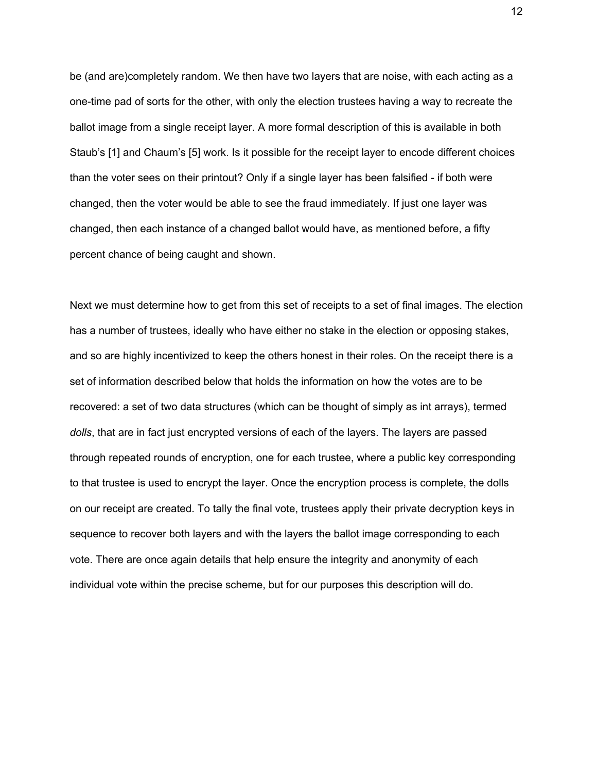be (and are)completely random. We then have two layers that are noise, with each acting as a one-time pad of sorts for the other, with only the election trustees having a way to recreate the ballot image from a single receipt layer. A more formal description of this is available in both Staub's [1] and Chaum's [5] work. Is it possible for the receipt layer to encode different choices than the voter sees on their printout? Only if a single layer has been falsified - if both were changed, then the voter would be able to see the fraud immediately. If just one layer was changed, then each instance of a changed ballot would have, as mentioned before, a fifty percent chance of being caught and shown.

Next we must determine how to get from this set of receipts to a set of final images. The election has a number of trustees, ideally who have either no stake in the election or opposing stakes, and so are highly incentivized to keep the others honest in their roles. On the receipt there is a set of information described below that holds the information on how the votes are to be recovered: a set of two data structures (which can be thought of simply as int arrays), termed *dolls*, that are in fact just encrypted versions of each of the layers. The layers are passed through repeated rounds of encryption, one for each trustee, where a public key corresponding to that trustee is used to encrypt the layer. Once the encryption process is complete, the dolls on our receipt are created. To tally the final vote, trustees apply their private decryption keys in sequence to recover both layers and with the layers the ballot image corresponding to each vote. There are once again details that help ensure the integrity and anonymity of each individual vote within the precise scheme, but for our purposes this description will do.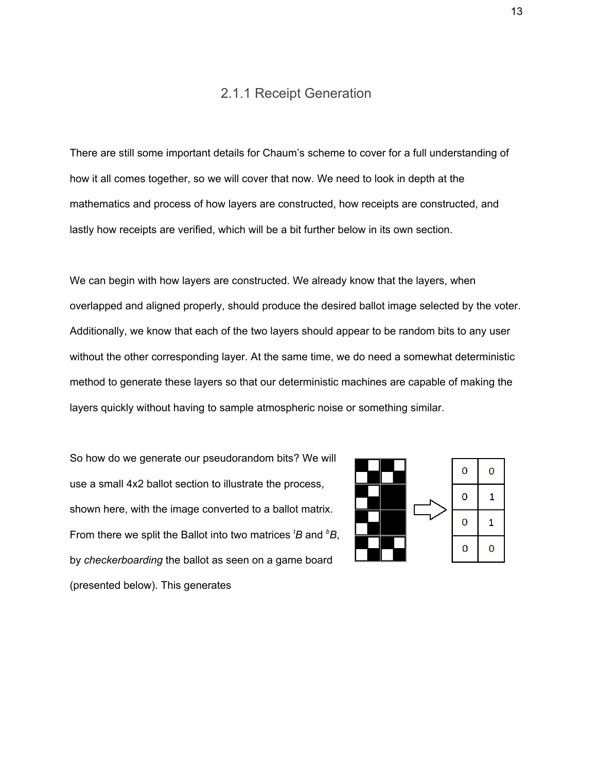#### 2.1.1 Receipt Generation

<span id="page-13-0"></span>There are still some important details for Chaum's scheme to cover for a full understanding of how it all comes together, so we will cover that now. We need to look in depth at the mathematics and process of how layers are constructed, how receipts are constructed, and lastly how receipts are verified, which will be a bit further below in its own section.

We can begin with how layers are constructed. We already know that the layers, when overlapped and aligned properly, should produce the desired ballot image selected by the voter. Additionally, we know that each of the two layers should appear to be random bits to any user without the other corresponding layer. At the same time, we do need a somewhat deterministic method to generate these layers so that our deterministic machines are capable of making the layers quickly without having to sample atmospheric noise or something similar.

So how do we generate our pseudorandom bits? We will use a small 4x2 ballot section to illustrate the process, shown here, with the image converted to a ballot matrix. From there we split the Ballot into two matrices *<sup>t</sup>B* and *<sup>b</sup>B*, by *checkerboarding* the ballot as seen on a game board (presented below). This generates

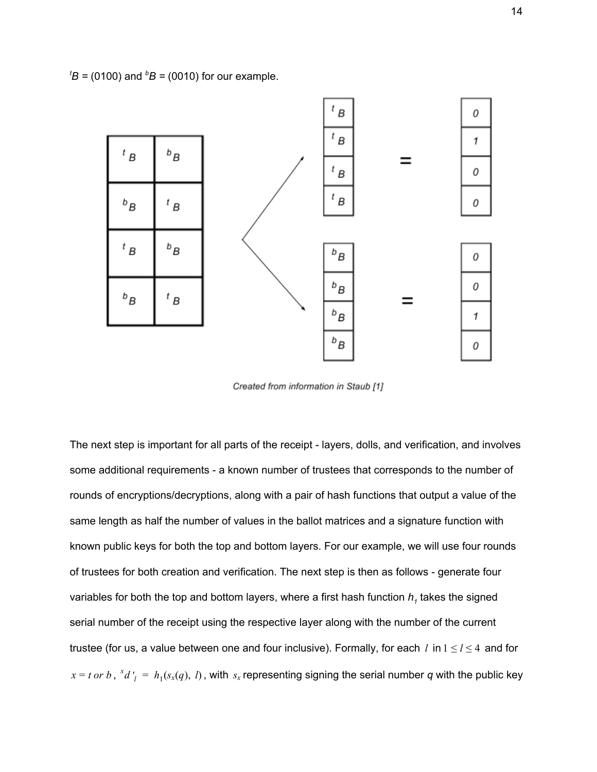${}^{t}B$  = (0100) and  ${}^{b}B$  = (0010) for our example.



Created from information in Staub [1]

The next step is important for all parts of the receipt - layers, dolls, and verification, and involves some additional requirements - a known number of trustees that corresponds to the number of rounds of encryptions/decryptions, along with a pair of hash functions that output a value of the same length as half the number of values in the ballot matrices and a signature function with known public keys for both the top and bottom layers. For our example, we will use four rounds of trustees for both creation and verification. The next step is then as follows - generate four variables for both the top and bottom layers, where a first hash function  $h<sub>1</sub>$  takes the signed serial number of the receipt using the respective layer along with the number of the current trustee (for us, a value between one and four inclusive). Formally, for each *l* in  $1 \le l \le 4$  and for  $x = t$  *or b*,  ${}^x d'_{l} = h_1(s_x(q), l)$ , with  $s_x$  representing signing the serial number *q* with the public key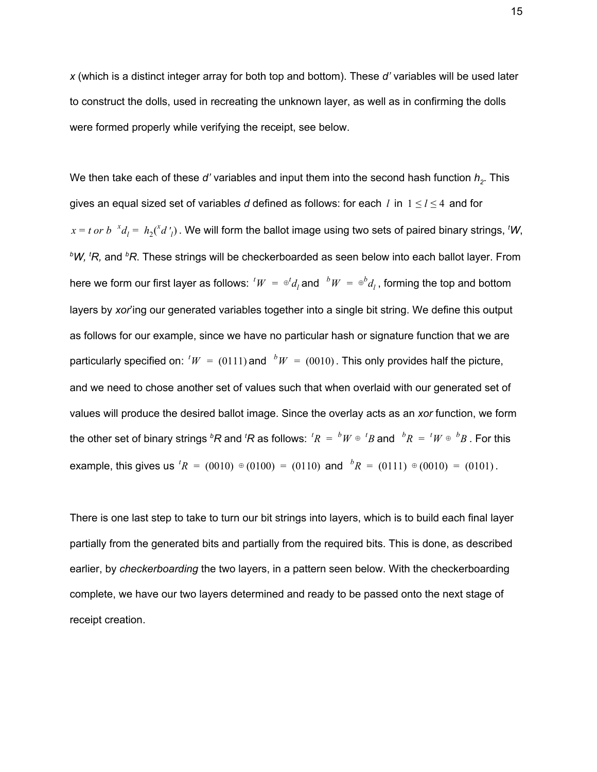*x* (which is a distinct integer array for both top and bottom). These *d'* variables will be used later to construct the dolls, used in recreating the unknown layer, as well as in confirming the dolls were formed properly while verifying the receipt, see below.

We then take each of these *d'* variables and input them into the second hash function  $h<sub>2</sub>$ . This gives an equal sized set of variables *d* defined as follows: for each *l* in  $1 \le l \le 4$  and for  $x = t$  *or*  $b^{-x}d_1 = h_2(^x d'_{1})$ . We will form the ballot image using two sets of paired binary strings, <sup>t</sup>W, *<sup>b</sup>W, <sup>t</sup>R,* and *<sup>b</sup>R*. These strings will be checkerboarded as seen below into each ballot layer. From here we form our first layer as follows:  ${}^tW = {}^{\oplus t}d_l$  and  ${}^bW = {}^{\oplus b}d_l$  , forming the top and bottom *l* layers by *xor*'ing our generated variables together into a single bit string. We define this output as follows for our example, since we have no particular hash or signature function that we are particularly specified on:  $^tW = (0111)$  and  $^bW = (0010)$ . This only provides half the picture, and we need to chose another set of values such that when overlaid with our generated set of values will produce the desired ballot image. Since the overlay acts as an *xor* function, we form the other set of binary strings  ${}^bR$  and  ${}^tR$  as follows:  ${}^tR = {}^bW \oplus {}^tB$  and  ${}^bR = {}^tW \oplus {}^bB$  . For this example, this gives us  ${}^{t}R = (0010) \oplus (0100) = (0110)$  and  ${}^{b}R = (0111) \oplus (0010) = (0101)$ .

There is one last step to take to turn our bit strings into layers, which is to build each final layer partially from the generated bits and partially from the required bits. This is done, as described earlier, by *checkerboarding* the two layers, in a pattern seen below. With the checkerboarding complete, we have our two layers determined and ready to be passed onto the next stage of receipt creation.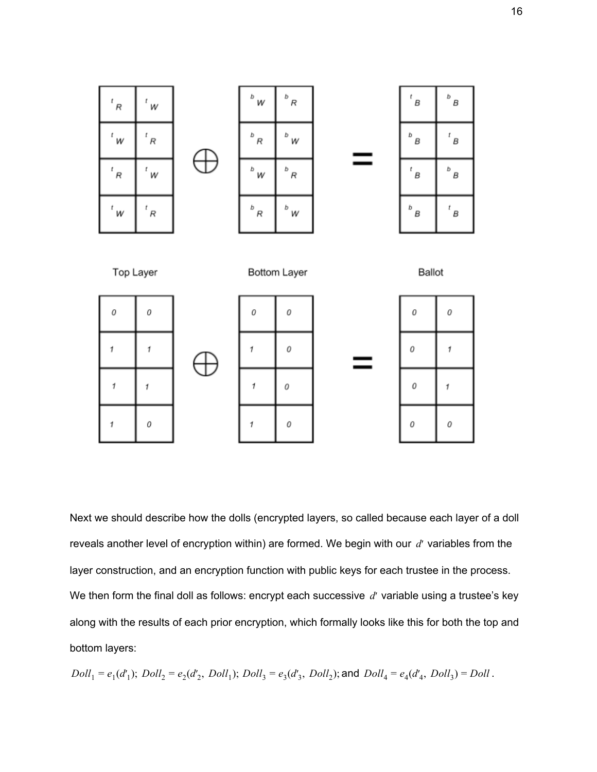

Next we should describe how the dolls (encrypted layers, so called because each layer of a doll reveals another level of encryption within) are formed. We begin with our *d*′ variables from the layer construction, and an encryption function with public keys for each trustee in the process. We then form the final doll as follows: encrypt each successive *d'* variable using a trustee's key along with the results of each prior encryption, which formally looks like this for both the top and bottom layers:

$$
Doll_1 = e_1(d'_1)
$$
;  $Doll_2 = e_2(d'_2, Doll_1)$ ;  $Doll_3 = e_3(d'_3, Doll_2)$ ; and  $Doll_4 = e_4(d'_4, Doll_3) = Doll$ .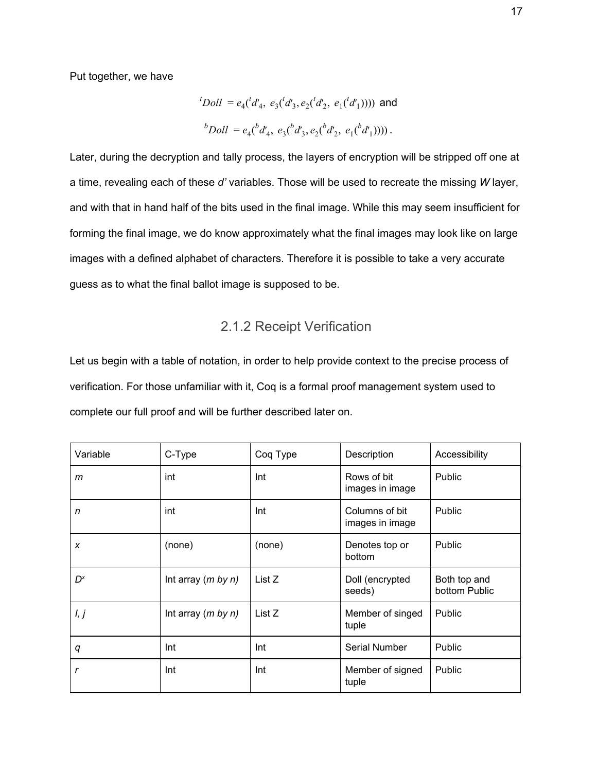Put together, we have

$$
{}^{t}Doll = e_{4}({}^{t}d'_{4}, e_{3}({}^{t}d'_{3}, e_{2}({}^{t}d'_{2}, e_{1}({}^{t}d'_{1}))))
$$
 and  

$$
{}^{b}Doll = e_{4}({}^{b}d'_{4}, e_{3}({}^{b}d'_{3}, e_{2}({}^{b}d'_{2}, e_{1}({}^{b}d'_{1}))))
$$
.

Later, during the decryption and tally process, the layers of encryption will be stripped off one at a time, revealing each of these *d'* variables. Those will be used to recreate the missing *W* layer, and with that in hand half of the bits used in the final image. While this may seem insufficient for forming the final image, we do know approximately what the final images may look like on large images with a defined alphabet of characters. Therefore it is possible to take a very accurate guess as to what the final ballot image is supposed to be.

#### 2.1.2 Receipt Verification

<span id="page-17-0"></span>Let us begin with a table of notation, in order to help provide context to the precise process of verification. For those unfamiliar with it, Coq is a formal proof management system used to complete our full proof and will be further described later on.

| Variable       | C-Type               | Coq Type | Description                       | Accessibility                 |
|----------------|----------------------|----------|-----------------------------------|-------------------------------|
| m              | int                  | Int      | Rows of bit<br>images in image    | Public                        |
| n              | int                  | Int      | Columns of bit<br>images in image | Public                        |
| X              | (none)               | (none)   | Denotes top or<br>bottom          | Public                        |
| D <sup>x</sup> | Int array $(m by n)$ | List Z   | Doll (encrypted<br>seeds)         | Both top and<br>bottom Public |
| l, j           | Int array $(m by n)$ | List Z   | Member of singed<br>tuple         | Public                        |
| q              | Int                  | Int      | Serial Number                     | Public                        |
| r              | Int                  | Int      | Member of signed<br>tuple         | Public                        |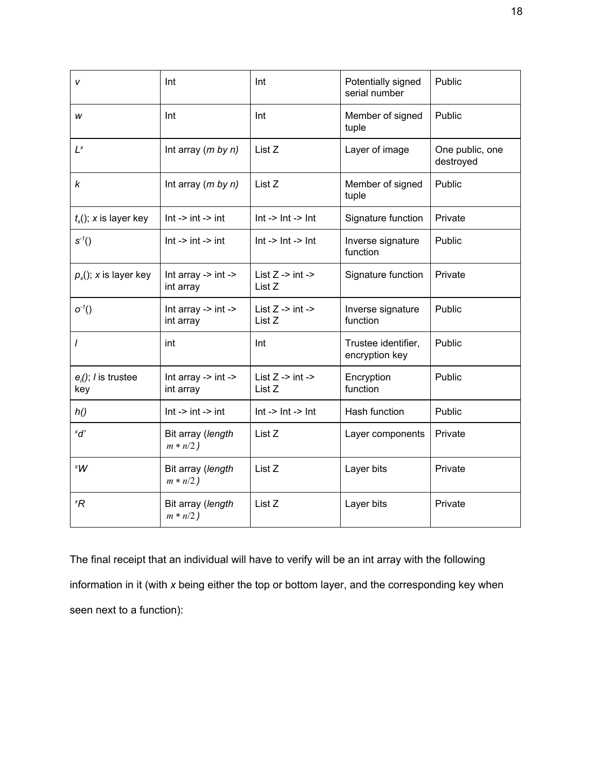| v                                    | Int                                                    | Int                                                   | Potentially signed<br>serial number   | Public                       |
|--------------------------------------|--------------------------------------------------------|-------------------------------------------------------|---------------------------------------|------------------------------|
| w                                    | Int                                                    | Int                                                   | Member of signed<br>tuple             | Public                       |
| $L^{x}$                              | Int array $(m by n)$                                   | List Z                                                | Layer of image                        | One public, one<br>destroyed |
| k                                    | Int array $(m by n)$                                   | List Z                                                | Member of signed<br>tuple             | Public                       |
| $t_{x}(x)$ ; x is layer key          | $Int -> int -> int$                                    | $Int - > Int - > Int$                                 | Signature function                    | Private                      |
| $S^{-1}($                            | $Int -> int -> int$                                    | $Int - > Int - > Int$                                 | Inverse signature<br>function         | Public                       |
| $p_x$ (); x is layer key             | Int array $\rightarrow$ int $\rightarrow$<br>int array | List $Z \rightarrow int \rightarrow$<br>List Z        | Signature function                    | Private                      |
| $o^{-1}()$                           | Int array $\rightarrow$ int $\rightarrow$<br>int array | List $Z \rightarrow int \rightarrow$<br>List Z        | Inverse signature<br>function         | Public                       |
| I                                    | int                                                    | Int                                                   | Trustee identifier,<br>encryption key | Public                       |
| $e_i()$ ; <i>l</i> is trustee<br>key | Int array $\rightarrow$ int $\rightarrow$<br>int array | List $Z \rightarrow \text{int} \rightarrow$<br>List Z | Encryption<br>function                | Public                       |
| h()                                  | $Int -> int -> int$                                    | $Int -> Int -> Int$                                   | Hash function                         | Public                       |
| $x_{d'}$                             | Bit array (length<br>$m * n/2)$                        | List Z                                                | Layer components                      | Private                      |
| $X^*W$                               | Bit array (length<br>$m * n/2)$                        | List Z                                                | Layer bits                            | Private                      |
| ×R                                   | Bit array (length<br>$m * n/2)$                        | List Z                                                | Layer bits                            | Private                      |

The final receipt that an individual will have to verify will be an int array with the following information in it (with *x* being either the top or bottom layer, and the corresponding key when seen next to a function):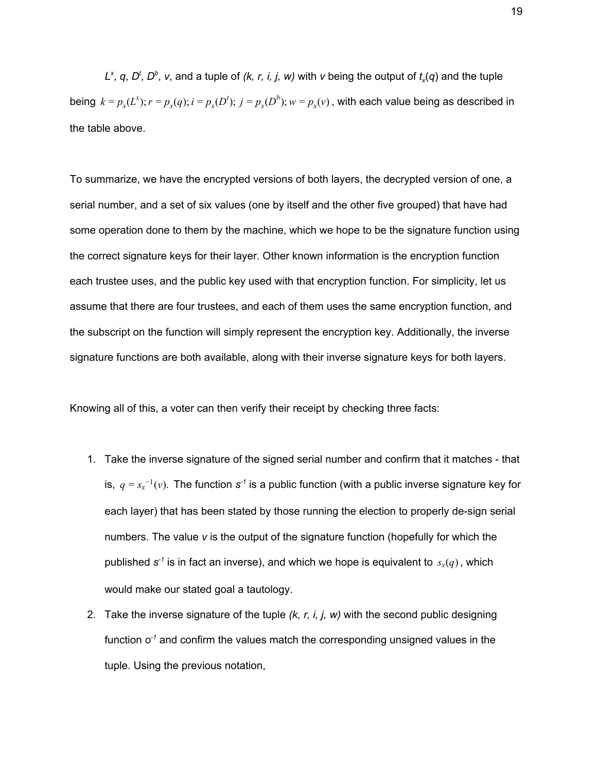*L*<sup>x</sup>, *q*, *D*<sup>t</sup>, *D*<sup>*b*</sup>, *v*, and a tuple of (*k, r, i, j, w*) with *v* being the output of  $t_x(q)$  and the tuple being  $k = p_x(L^x)$ ;  $r = p_x(q)$ ;  $i = p_x(D^t)$ ;  $j = p_x(D^b)$ ;  $w = p_x(v)$ , with each value being as described in the table above.

To summarize, we have the encrypted versions of both layers, the decrypted version of one, a serial number, and a set of six values (one by itself and the other five grouped) that have had some operation done to them by the machine, which we hope to be the signature function using the correct signature keys for their layer. Other known information is the encryption function each trustee uses, and the public key used with that encryption function. For simplicity, let us assume that there are four trustees, and each of them uses the same encryption function, and the subscript on the function will simply represent the encryption key. Additionally, the inverse signature functions are both available, along with their inverse signature keys for both layers.

Knowing all of this, a voter can then verify their receipt by checking three facts:

- 1. Take the inverse signature of the signed serial number and confirm that it matches that is,  $q = s_x^{-1}(v)$ . The function  $s^{-1}$  is a public function (with a public inverse signature key for each layer) that has been stated by those running the election to properly de-sign serial numbers. The value *v* is the output of the signature function (hopefully for which the published  $s^{\text{-}1}$  is in fact an inverse), and which we hope is equivalent to  $s_x(q)$ , which would make our stated goal a tautology.
- 2. Take the inverse signature of the tuple *(k, r, i, j, w)* with the second public designing function  $o<sup>-1</sup>$  and confirm the values match the corresponding unsigned values in the tuple. Using the previous notation,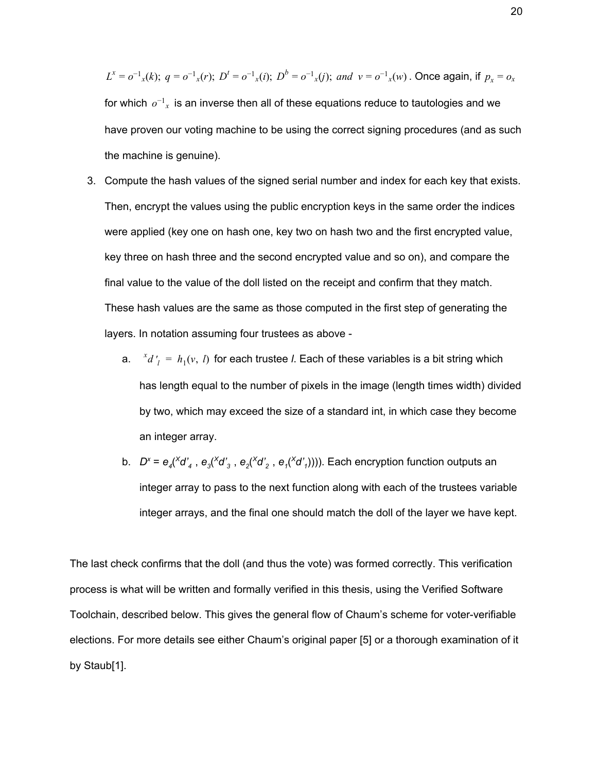$L^x = o^{-1}x(k);$   $q = o^{-1}x(r);$   $D^t = o^{-1}x(i);$   $D^b = o^{-1}x(j);$  and  $v = o^{-1}x(w)$ . Once again, if  $p_x = o_x$ for which  $o^{-1}{}_x$  is an inverse then all of these equations reduce to tautologies and we have proven our voting machine to be using the correct signing procedures (and as such the machine is genuine).

- 3. Compute the hash values of the signed serial number and index for each key that exists. Then, encrypt the values using the public encryption keys in the same order the indices were applied (key one on hash one, key two on hash two and the first encrypted value, key three on hash three and the second encrypted value and so on), and compare the final value to the value of the doll listed on the receipt and confirm that they match. These hash values are the same as those computed in the first step of generating the layers. In notation assuming four trustees as above
	- a.  $x^2 d' = h_1(v, l)$  for each trustee *l*. Each of these variables is a bit string which has length equal to the number of pixels in the image (length times width) divided by two, which may exceed the size of a standard int, in which case they become an integer array.
	- b.  $D^x = e_4 (X d'_4, e_3 (X d'_3, e_2 (X d'_2, e_1 (X d'_1))))$ . Each encryption function outputs an integer array to pass to the next function along with each of the trustees variable integer arrays, and the final one should match the doll of the layer we have kept.

The last check confirms that the doll (and thus the vote) was formed correctly. This verification process is what will be written and formally verified in this thesis, using the Verified Software Toolchain, described below. This gives the general flow of Chaum's scheme for voter-verifiable elections. For more details see either Chaum's original paper [5] or a thorough examination of it by Staub[1].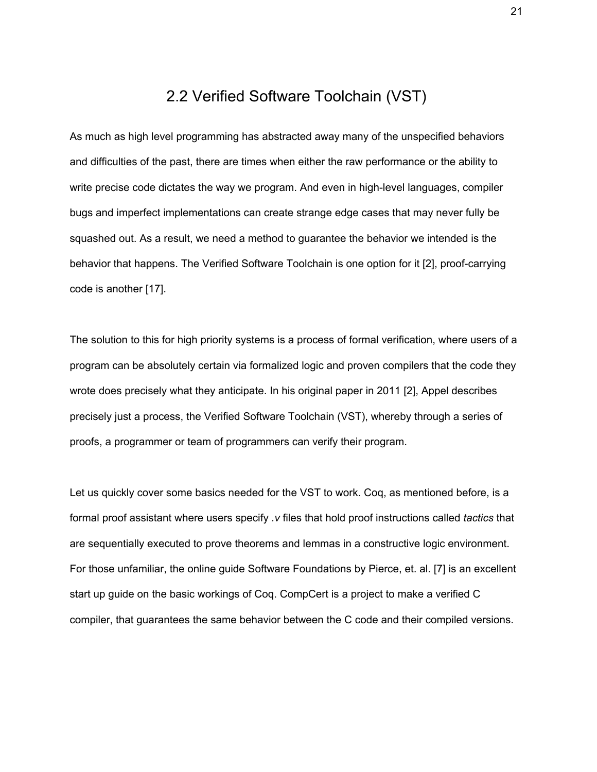### 2.2 Verified Software Toolchain (VST)

<span id="page-21-0"></span>As much as high level programming has abstracted away many of the unspecified behaviors and difficulties of the past, there are times when either the raw performance or the ability to write precise code dictates the way we program. And even in high-level languages, compiler bugs and imperfect implementations can create strange edge cases that may never fully be squashed out. As a result, we need a method to guarantee the behavior we intended is the behavior that happens. The Verified Software Toolchain is one option for it [2], proof-carrying code is another [17].

The solution to this for high priority systems is a process of formal verification, where users of a program can be absolutely certain via formalized logic and proven compilers that the code they wrote does precisely what they anticipate. In his original paper in 2011 [2], Appel describes precisely just a process, the Verified Software Toolchain (VST), whereby through a series of proofs, a programmer or team of programmers can verify their program.

Let us quickly cover some basics needed for the VST to work. Coq, as mentioned before, is a formal proof assistant where users specify *.v* files that hold proof instructions called *tactics* that are sequentially executed to prove theorems and lemmas in a constructive logic environment. For those unfamiliar, the online guide Software Foundations by Pierce, et. al. [7] is an excellent start up guide on the basic workings of Coq. CompCert is a project to make a verified C compiler, that guarantees the same behavior between the C code and their compiled versions.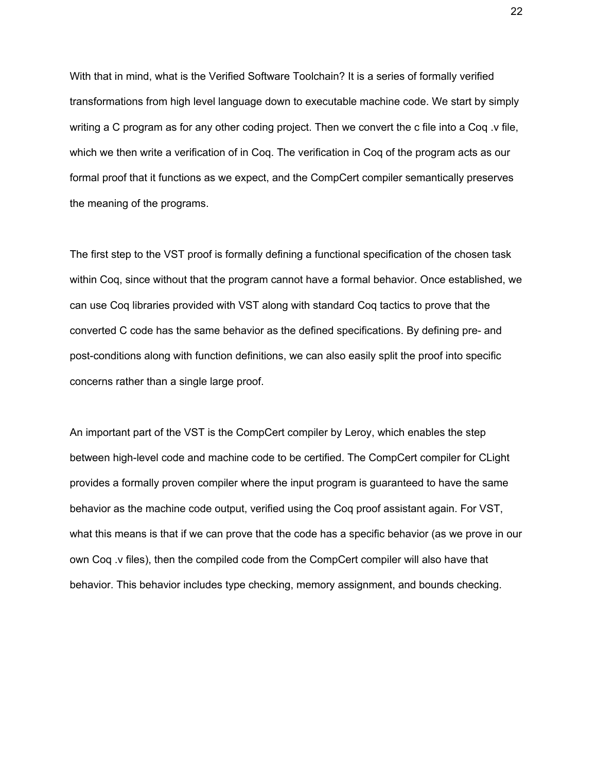With that in mind, what is the Verified Software Toolchain? It is a series of formally verified transformations from high level language down to executable machine code. We start by simply writing a C program as for any other coding project. Then we convert the c file into a Coq .v file, which we then write a verification of in Coq. The verification in Coq of the program acts as our formal proof that it functions as we expect, and the CompCert compiler semantically preserves the meaning of the programs.

The first step to the VST proof is formally defining a functional specification of the chosen task within Coq, since without that the program cannot have a formal behavior. Once established, we can use Coq libraries provided with VST along with standard Coq tactics to prove that the converted C code has the same behavior as the defined specifications. By defining pre- and post-conditions along with function definitions, we can also easily split the proof into specific concerns rather than a single large proof.

An important part of the VST is the CompCert compiler by Leroy, which enables the step between high-level code and machine code to be certified. The CompCert compiler for CLight provides a formally proven compiler where the input program is guaranteed to have the same behavior as the machine code output, verified using the Coq proof assistant again. For VST, what this means is that if we can prove that the code has a specific behavior (as we prove in our own Coq .v files), then the compiled code from the CompCert compiler will also have that behavior. This behavior includes type checking, memory assignment, and bounds checking.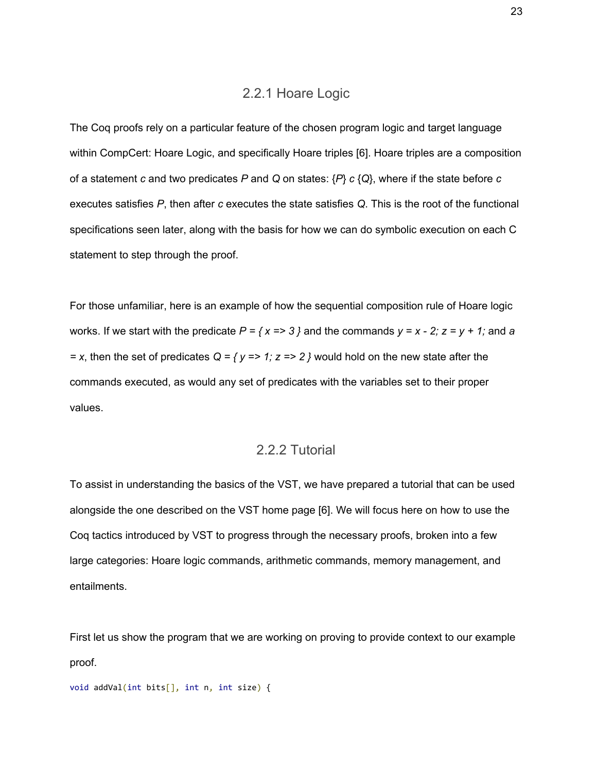#### 2.2.1 Hoare Logic

<span id="page-23-0"></span>The Coq proofs rely on a particular feature of the chosen program logic and target language within CompCert: Hoare Logic, and specifically Hoare triples [6]. Hoare triples are a composition of a statement *c* and two predicates *P* and *Q* on states: {*P*} *c* {*Q*}, where if the state before *c* executes satisfies *P*, then after *c* executes the state satisfies *Q*. This is the root of the functional specifications seen later, along with the basis for how we can do symbolic execution on each C statement to step through the proof.

For those unfamiliar, here is an example of how the sequential composition rule of Hoare logic works. If we start with the predicate  $P = \{x \Rightarrow 3\}$  and the commands  $y = x - 2$ ;  $z = y + 1$ ; and a *= x*, then the set of predicates *Q = { y => 1; z => 2 }* would hold on the new state after the commands executed, as would any set of predicates with the variables set to their proper values.

#### 2.2.2 Tutorial

<span id="page-23-1"></span>To assist in understanding the basics of the VST, we have prepared a tutorial that can be used alongside the one described on the VST home page [6]. We will focus here on how to use the Coq tactics introduced by VST to progress through the necessary proofs, broken into a few large categories: Hoare logic commands, arithmetic commands, memory management, and entailments.

First let us show the program that we are working on proving to provide context to our example proof.

```
void addVal(int bits[], int n, int size) {
```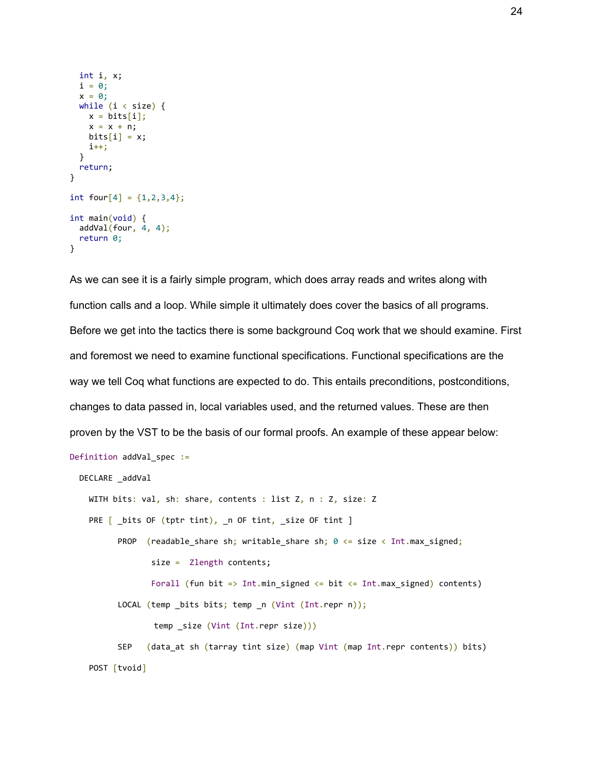```
 int i, x;
  i = 0;
  x = 0;
  while (i \lt size) {
    x = bits[i];x = x + n;bits[i] = x; i++;
   }
  return;
}
int four [4] = \{1, 2, 3, 4\};
int main(void) {
  addVal(four, 4, 4); return 0;
}
```
As we can see it is a fairly simple program, which does array reads and writes along with function calls and a loop. While simple it ultimately does cover the basics of all programs. Before we get into the tactics there is some background Coq work that we should examine. First and foremost we need to examine functional specifications. Functional specifications are the way we tell Coq what functions are expected to do. This entails preconditions, postconditions, changes to data passed in, local variables used, and the returned values. These are then proven by the VST to be the basis of our formal proofs. An example of these appear below: Definition addVal spec := DECLARE \_addVal WITH bits: val, sh: share, contents : list Z, n : Z, size: Z PRE [ \_bits OF (tptr tint), \_n OF tint, \_size OF tint ] PROP (readable share sh; writable share sh;  $0 \leq s$  size  $\lt$  Int.max signed; size = Zlength contents; Forall (fun bit => Int.min\_signed  $\le$  bit  $\le$  Int.max\_signed) contents) LOCAL (temp \_bits bits; temp \_n (Vint (Int.repr n)); temp \_size (Vint (Int.repr size))) SEP (data\_at sh (tarray tint size) (map Vint (map Int.repr contents)) bits) POST [tvoid]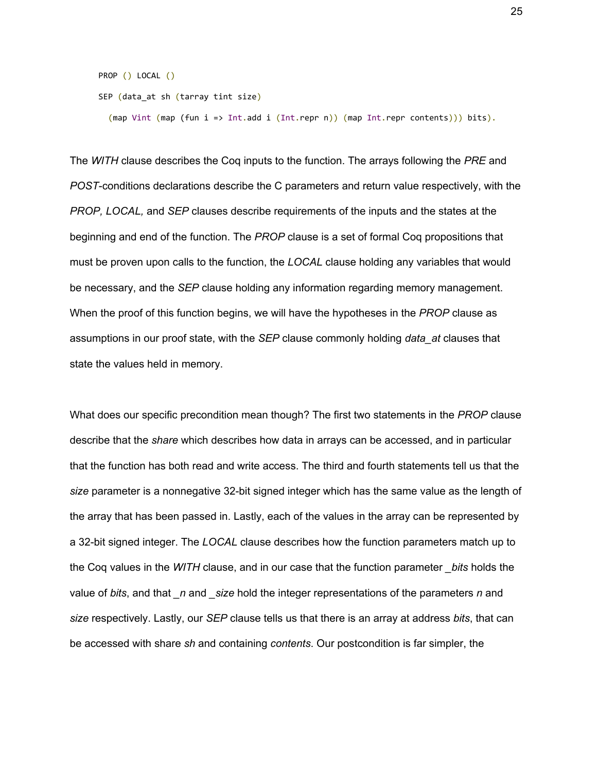```
 PROP () LOCAL ()
 SEP (data_at sh (tarray tint size)
```
(map Vint (map (fun i => Int.add i (Int.repr n)) (map Int.repr contents))) bits).

The *WITH* clause describes the Coq inputs to the function. The arrays following the *PRE* and *POST*-conditions declarations describe the C parameters and return value respectively, with the *PROP, LOCAL,* and *SEP* clauses describe requirements of the inputs and the states at the beginning and end of the function. The *PROP* clause is a set of formal Coq propositions that must be proven upon calls to the function, the *LOCAL* clause holding any variables that would be necessary, and the *SEP* clause holding any information regarding memory management. When the proof of this function begins, we will have the hypotheses in the *PROP* clause as assumptions in our proof state, with the *SEP* clause commonly holding *data\_at* clauses that state the values held in memory.

What does our specific precondition mean though? The first two statements in the *PROP* clause describe that the *share* which describes how data in arrays can be accessed, and in particular that the function has both read and write access. The third and fourth statements tell us that the *size* parameter is a nonnegative 32-bit signed integer which has the same value as the length of the array that has been passed in. Lastly, each of the values in the array can be represented by a 32-bit signed integer. The *LOCAL* clause describes how the function parameters match up to the Coq values in the *WITH* clause, and in our case that the function parameter *\_bits* holds the value of *bits*, and that *\_n* and *\_size* hold the integer representations of the parameters *n* and *size* respectively. Lastly, our *SEP* clause tells us that there is an array at address *bits*, that can be accessed with share *sh* and containing *contents*. Our postcondition is far simpler, the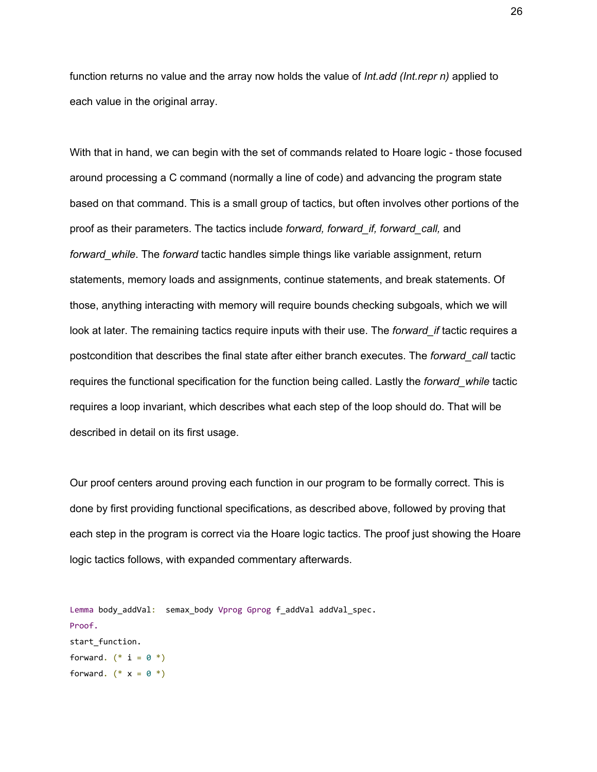function returns no value and the array now holds the value of *Int.add (Int.repr n)* applied to each value in the original array.

With that in hand, we can begin with the set of commands related to Hoare logic - those focused around processing a C command (normally a line of code) and advancing the program state based on that command. This is a small group of tactics, but often involves other portions of the proof as their parameters. The tactics include *forward, forward\_if, forward\_call,* and *forward while*. The *forward* tactic handles simple things like variable assignment, return statements, memory loads and assignments, continue statements, and break statements. Of those, anything interacting with memory will require bounds checking subgoals, which we will look at later. The remaining tactics require inputs with their use. The *forward\_if* tactic requires a postcondition that describes the final state after either branch executes. The *forward\_call* tactic requires the functional specification for the function being called. Lastly the *forward\_while* tactic requires a loop invariant, which describes what each step of the loop should do. That will be described in detail on its first usage.

Our proof centers around proving each function in our program to be formally correct. This is done by first providing functional specifications, as described above, followed by proving that each step in the program is correct via the Hoare logic tactics. The proof just showing the Hoare logic tactics follows, with expanded commentary afterwards.

```
Lemma body_addVal: semax_body Vprog Gprog f_addVal addVal_spec.
Proof.
start_function.
forward. (* i = 0 *)forward. (* x = 0 *)
```
26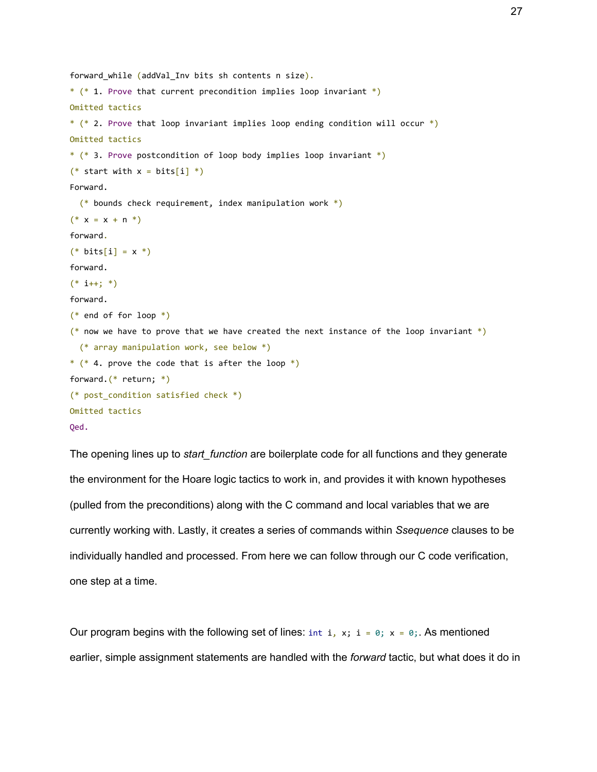```
forward while (addVal Inv bits sh contents n size).
* (* 1. Prove that current precondition implies loop invariant *)Omitted tactics
* (* 2. Prove that loop invariant implies loop ending condition will occur *)
Omitted tactics
* (* 3. Prove postcondition of loop body implies loop invariant *)
(* start with x = bits[i] *Forward.
  (*) bounds check requirement, index manipulation work *)
(* x = x + n *)forward.
(* \; bits[i] = x *)forward.
(* i++)forward.
(* end of for loop *)
(* now we have to prove that we have created the next instance of the loop invariant *) (* array manipulation work, see below *)
* (* 4. prove the code that is after the loop *)forward.(* return; *)
(* post_condition satisfied check *)
Omitted tactics
Qed.
```
The opening lines up to *start\_function* are boilerplate code for all functions and they generate the environment for the Hoare logic tactics to work in, and provides it with known hypotheses (pulled from the preconditions) along with the C command and local variables that we are currently working with. Lastly, it creates a series of commands within *Ssequence* clauses to be individually handled and processed. From here we can follow through our C code verification, one step at a time.

Our program begins with the following set of lines: int i, x; i = 0; x = 0;. As mentioned earlier, simple assignment statements are handled with the *forward* tactic, but what does it do in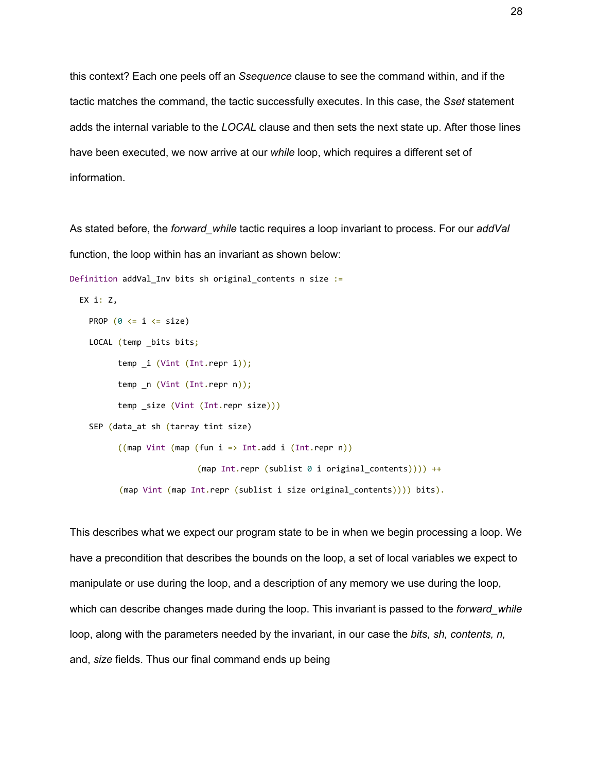this context? Each one peels off an *Ssequence* clause to see the command within, and if the tactic matches the command, the tactic successfully executes. In this case, the *Sset* statement adds the internal variable to the *LOCAL* clause and then sets the next state up. After those lines have been executed, we now arrive at our *while* loop, which requires a different set of information.

As stated before, the *forward\_while* tactic requires a loop invariant to process. For our *addVal* function, the loop within has an invariant as shown below:

```
Definition addVal_Inv bits sh original_contents n size :=
```

```
 EX i: Z,
```

```
PROP (0 \leq i \leq size)
```

```
LOCAL (temp _bits bits;
```

```
 temp _i (Vint (Int.repr i));
```

```
 temp _n (Vint (Int.repr n));
```

```
 temp _size (Vint (Int.repr size)))
```

```
SEP (data at sh (tarray tint size)
```

```
((map Vint (map (fun i =& int.add i (Int.rep n)))(\text{map Int.}repr (\text{sublist 0 i original contents}))) ++
 (map Vint (map Int.repr (sublist i size original_contents)))) bits).
```
This describes what we expect our program state to be in when we begin processing a loop. We have a precondition that describes the bounds on the loop, a set of local variables we expect to manipulate or use during the loop, and a description of any memory we use during the loop, which can describe changes made during the loop. This invariant is passed to the *forward* while loop, along with the parameters needed by the invariant, in our case the *bits, sh, contents, n,* and, *size* fields. Thus our final command ends up being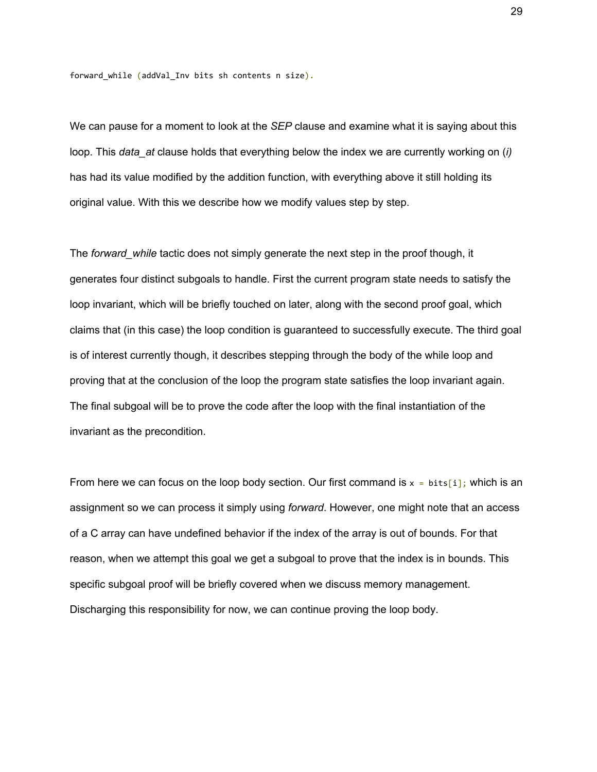forward while (addVal Inv bits sh contents n size).

We can pause for a moment to look at the *SEP* clause and examine what it is saying about this loop. This *data\_at* clause holds that everything below the index we are currently working on (*i)* has had its value modified by the addition function, with everything above it still holding its original value. With this we describe how we modify values step by step.

The *forward* while tactic does not simply generate the next step in the proof though, it generates four distinct subgoals to handle. First the current program state needs to satisfy the loop invariant, which will be briefly touched on later, along with the second proof goal, which claims that (in this case) the loop condition is guaranteed to successfully execute. The third goal is of interest currently though, it describes stepping through the body of the while loop and proving that at the conclusion of the loop the program state satisfies the loop invariant again. The final subgoal will be to prove the code after the loop with the final instantiation of the invariant as the precondition.

From here we can focus on the loop body section. Our first command is  $x = \text{bits[i]}$ ; which is an assignment so we can process it simply using *forward*. However, one might note that an access of a C array can have undefined behavior if the index of the array is out of bounds. For that reason, when we attempt this goal we get a subgoal to prove that the index is in bounds. This specific subgoal proof will be briefly covered when we discuss memory management. Discharging this responsibility for now, we can continue proving the loop body.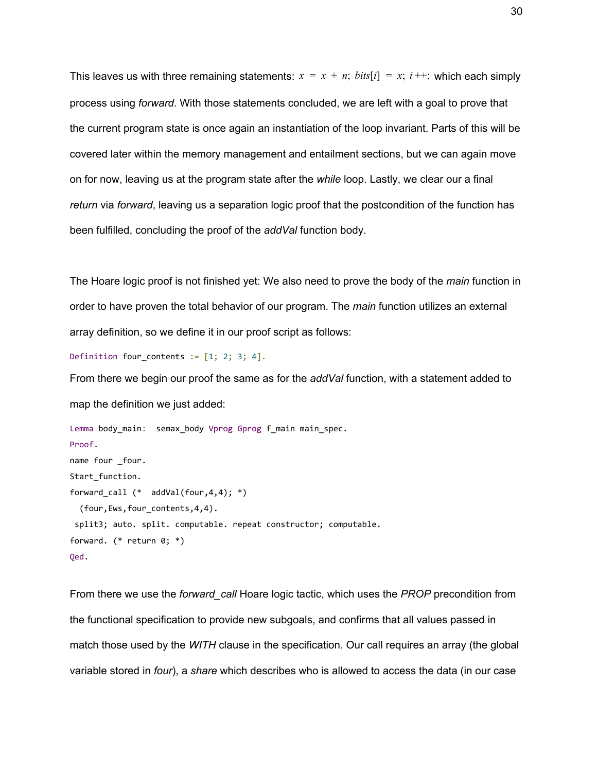This leaves us with three remaining statements:  $x = x + n$ ;  $bits[i] = x$ ;  $i +$ ; which each simply process using *forward*. With those statements concluded, we are left with a goal to prove that the current program state is once again an instantiation of the loop invariant. Parts of this will be covered later within the memory management and entailment sections, but we can again move on for now, leaving us at the program state after the *while* loop. Lastly, we clear our a final *return* via *forward*, leaving us a separation logic proof that the postcondition of the function has been fulfilled, concluding the proof of the *addVal* function body.

The Hoare logic proof is not finished yet: We also need to prove the body of the *main* function in order to have proven the total behavior of our program. The *main* function utilizes an external array definition, so we define it in our proof script as follows:

Definition four contents  $:= [1; 2; 3; 4]$ .

From there we begin our proof the same as for the *addVal* function, with a statement added to map the definition we just added:

```
Lemma body main: semax body Vprog Gprog f main main spec.
Proof.
name four _four.
Start_function.
forward_call (* addVal(four,4,4); *)
   (four,Ews,four_contents,4,4).
 split3; auto. split. computable. repeat constructor; computable.
forward. (* return 0; *)
Qed.
```
From there we use the *forward\_call* Hoare logic tactic, which uses the *PROP* precondition from the functional specification to provide new subgoals, and confirms that all values passed in match those used by the *WITH* clause in the specification. Our call requires an array (the global variable stored in *four*), a *share* which describes who is allowed to access the data (in our case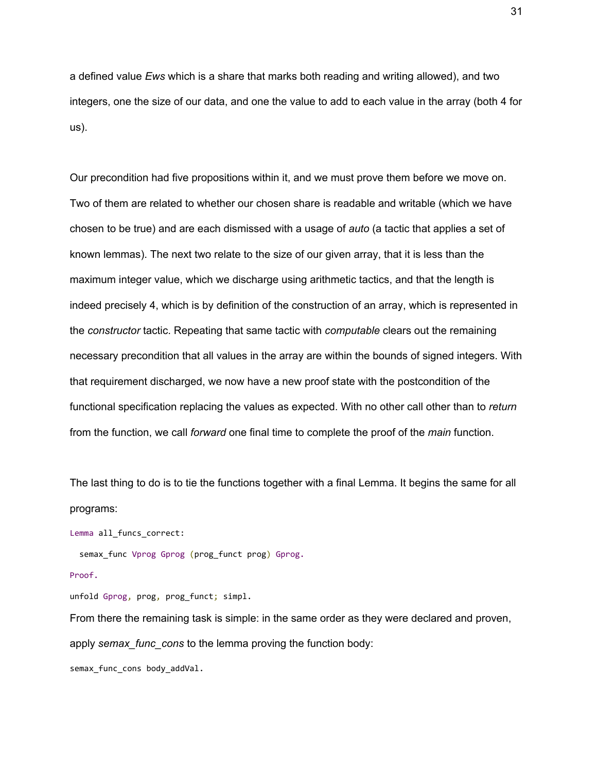a defined value *Ews* which is a share that marks both reading and writing allowed), and two integers, one the size of our data, and one the value to add to each value in the array (both 4 for us).

Our precondition had five propositions within it, and we must prove them before we move on. Two of them are related to whether our chosen share is readable and writable (which we have chosen to be true) and are each dismissed with a usage of *auto* (a tactic that applies a set of known lemmas). The next two relate to the size of our given array, that it is less than the maximum integer value, which we discharge using arithmetic tactics, and that the length is indeed precisely 4, which is by definition of the construction of an array, which is represented in the *constructor* tactic. Repeating that same tactic with *computable* clears out the remaining necessary precondition that all values in the array are within the bounds of signed integers. With that requirement discharged, we now have a new proof state with the postcondition of the functional specification replacing the values as expected. With no other call other than to *return* from the function, we call *forward* one final time to complete the proof of the *main* function.

The last thing to do is to tie the functions together with a final Lemma. It begins the same for all programs:

Lemma all\_funcs\_correct:

semax func Vprog Gprog (prog funct prog) Gprog.

```
Proof.
```
unfold Gprog, prog, prog funct; simpl.

From there the remaining task is simple: in the same order as they were declared and proven, apply *semax func* cons to the lemma proving the function body:

semax func cons body addVal.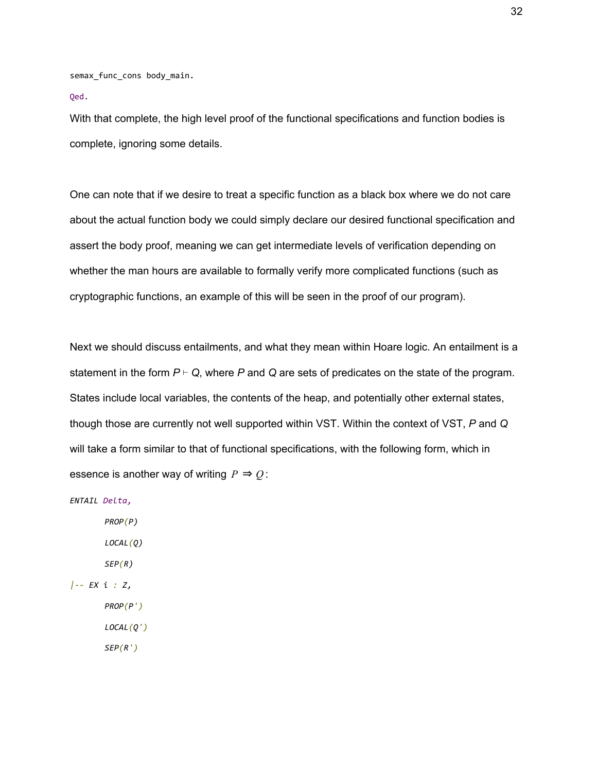semax\_func\_cons body\_main.

Qed.

With that complete, the high level proof of the functional specifications and function bodies is complete, ignoring some details.

One can note that if we desire to treat a specific function as a black box where we do not care about the actual function body we could simply declare our desired functional specification and assert the body proof, meaning we can get intermediate levels of verification depending on whether the man hours are available to formally verify more complicated functions (such as cryptographic functions, an example of this will be seen in the proof of our program).

Next we should discuss entailments, and what they mean within Hoare logic. An entailment is a statement in the form *P* ⊢ *Q*, where *P* and *Q* are sets of predicates on the state of the program. States include local variables, the contents of the heap, and potentially other external states, though those are currently not well supported within VST. Within the context of VST, *P* and *Q* will take a form similar to that of functional specifications, with the following form, which in essence is another way of writing  $P \Rightarrow Q$ :

*ENTAIL Delta,*

*PROP(P) LOCAL(Q) SEP(R) |-- EX i : Z, PROP(P') LOCAL(Q')*

*SEP(R')*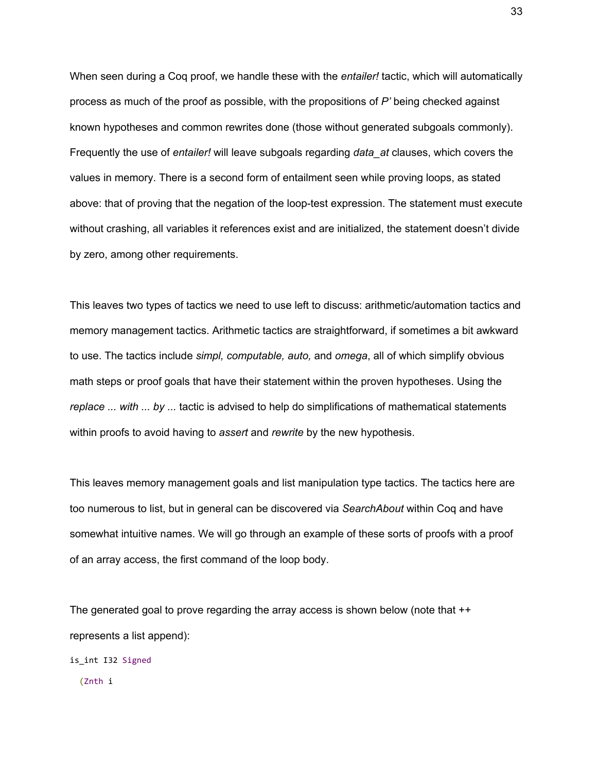When seen during a Coq proof, we handle these with the *entailer!* tactic, which will automatically process as much of the proof as possible, with the propositions of *P'* being checked against known hypotheses and common rewrites done (those without generated subgoals commonly). Frequently the use of *entailer!* will leave subgoals regarding *data\_at* clauses, which covers the values in memory. There is a second form of entailment seen while proving loops, as stated above: that of proving that the negation of the loop-test expression. The statement must execute without crashing, all variables it references exist and are initialized, the statement doesn't divide by zero, among other requirements.

This leaves two types of tactics we need to use left to discuss: arithmetic/automation tactics and memory management tactics. Arithmetic tactics are straightforward, if sometimes a bit awkward to use. The tactics include *simpl, computable, auto,* and *omega*, all of which simplify obvious math steps or proof goals that have their statement within the proven hypotheses. Using the *replace ... with ... by ...* tactic is advised to help do simplifications of mathematical statements within proofs to avoid having to *assert* and *rewrite* by the new hypothesis.

This leaves memory management goals and list manipulation type tactics. The tactics here are too numerous to list, but in general can be discovered via *SearchAbout* within Coq and have somewhat intuitive names. We will go through an example of these sorts of proofs with a proof of an array access, the first command of the loop body.

The generated goal to prove regarding the array access is shown below (note that ++ represents a list append):

is int I32 Signed

(Znth i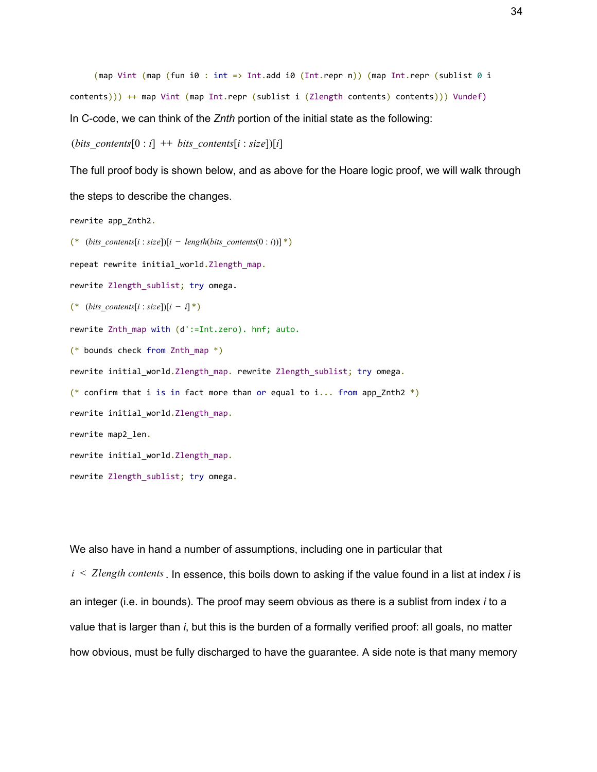```
(map Vint (map (fun i0 : int => Int.add i0 (Int.repr n)) (map Int.repr (sublist \theta i
contents))) ++ map Vint (map Int.repr (sublist i (Zlength contents) contents))) Vundef)
In C-code, we can think of the Znth portion of the initial state as the following:
```

```
(bits contents[0 : i] + bits contents[i : size])[i]
```
The full proof body is shown below, and as above for the Hoare logic proof, we will walk through the steps to describe the changes.

```
rewrite app_Znth2.
(* (bits contents[i : size])[i – length(bits contents(0 : i))] *)
repeat rewrite initial world.Zlength map.
rewrite Zlength sublist; try omega.
(* (bits contents[i : size])[i – i] *)
rewrite Znth map with (d':=Int.zero). hnf; auto.
(* bounds check from Znth map *)
rewrite initial_world.Zlength_map. rewrite Zlength_sublist; try omega.
(* confirm that i is in fact more than or equal to i... from app_Znth2 *)rewrite initial_world.Zlength_map.
rewrite map2_len.
rewrite initial_world.Zlength_map.
rewrite Zlength_sublist; try omega.
```
We also have in hand a number of assumptions, including one in particular that

*i* < *Zlength contents*. In essence, this boils down to asking if the value found in a list at index *i* is an integer (i.e. in bounds). The proof may seem obvious as there is a sublist from index *i* to a value that is larger than *i*, but this is the burden of a formally verified proof: all goals, no matter how obvious, must be fully discharged to have the guarantee. A side note is that many memory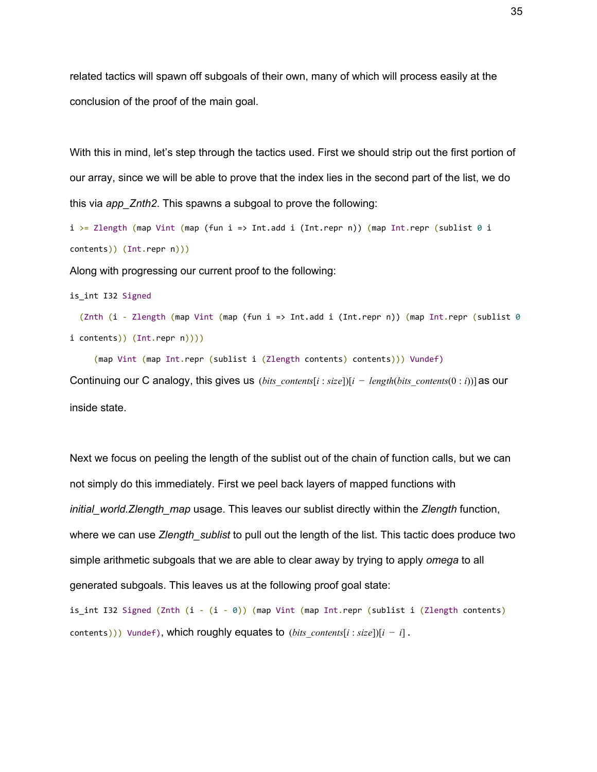related tactics will spawn off subgoals of their own, many of which will process easily at the conclusion of the proof of the main goal.

With this in mind, let's step through the tactics used. First we should strip out the first portion of our array, since we will be able to prove that the index lies in the second part of the list, we do this via *app\_Znth2*. This spawns a subgoal to prove the following:

i >= Zlength (map Vint (map (fun i => Int.add i (Int.repr n)) (map Int.repr (sublist 0 i contents)) (Int.repr n)))

Along with progressing our current proof to the following:

is int I32 Signed

 (Znth (i - Zlength (map Vint (map (fun i => Int.add i (Int.repr n)) (map Int.repr (sublist 0 i contents)) (Int.repr n))))

(map Vint (map Int.repr (sublist i (Zlength contents) contents))) Vundef)

Continuing our C analogy, this gives us (*bits contents*[ $i : size$ ]][ $i - length(bits \text{ contents}(0 : i)$ ] as our inside state.

Next we focus on peeling the length of the sublist out of the chain of function calls, but we can not simply do this immediately. First we peel back layers of mapped functions with *initial\_world.Zlength\_map* usage. This leaves our sublist directly within the *Zlength* function, where we can use *Zlength* sublist to pull out the length of the list. This tactic does produce two simple arithmetic subgoals that we are able to clear away by trying to apply *omega* to all generated subgoals. This leaves us at the following proof goal state:

is int I32 Signed (Znth  $(i - (i - 0))$  (map Vint (map Int.repr (sublist i (Zlength contents) contents))) Vundef), which roughly equates to (*bits*\_*contents*[*i* : *size*])[*i* − *i*] .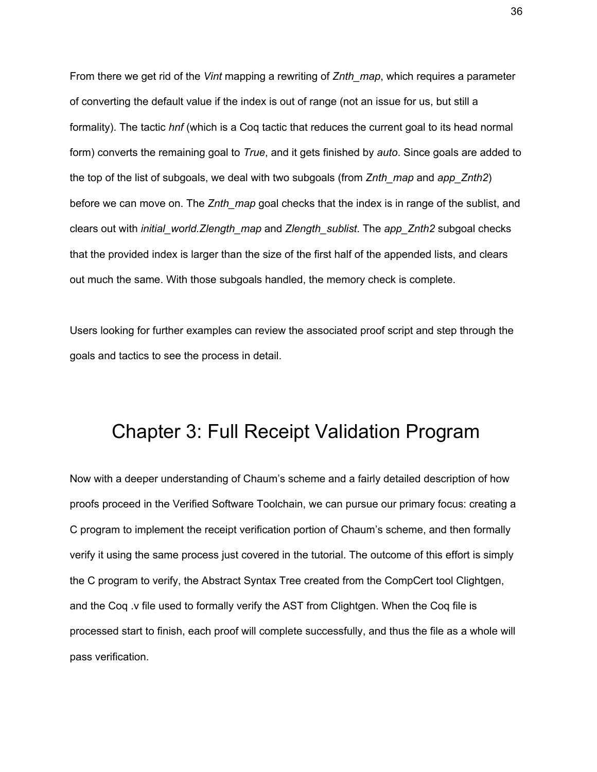From there we get rid of the *Vint* mapping a rewriting of *Znth\_map*, which requires a parameter of converting the default value if the index is out of range (not an issue for us, but still a formality). The tactic *hnf* (which is a Coq tactic that reduces the current goal to its head normal form) converts the remaining goal to *True*, and it gets finished by *auto*. Since goals are added to the top of the list of subgoals, we deal with two subgoals (from *Znth\_map* and *app\_Znth2*) before we can move on. The *Znth map* goal checks that the index is in range of the sublist, and clears out with *initial\_world.Zlength\_map* and *Zlength\_sublist*. The *app\_Znth2* subgoal checks that the provided index is larger than the size of the first half of the appended lists, and clears out much the same. With those subgoals handled, the memory check is complete.

Users looking for further examples can review the associated proof script and step through the goals and tactics to see the process in detail.

## <span id="page-36-0"></span>Chapter 3: Full Receipt Validation Program

Now with a deeper understanding of Chaum's scheme and a fairly detailed description of how proofs proceed in the Verified Software Toolchain, we can pursue our primary focus: creating a C program to implement the receipt verification portion of Chaum's scheme, and then formally verify it using the same process just covered in the tutorial. The outcome of this effort is simply the C program to verify, the Abstract Syntax Tree created from the CompCert tool Clightgen, and the Coq .v file used to formally verify the AST from Clightgen. When the Coq file is processed start to finish, each proof will complete successfully, and thus the file as a whole will pass verification.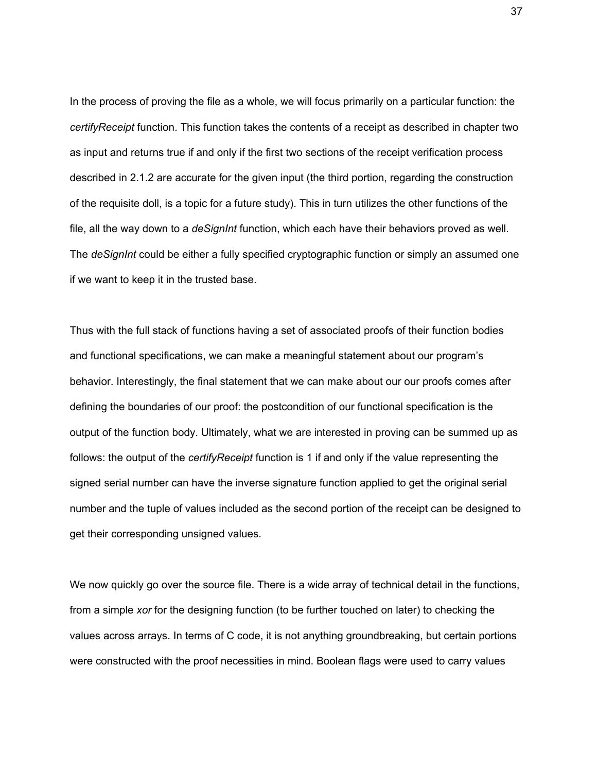In the process of proving the file as a whole, we will focus primarily on a particular function: the *certifyReceipt* function. This function takes the contents of a receipt as described in chapter two as input and returns true if and only if the first two sections of the receipt verification process described in 2.1.2 are accurate for the given input (the third portion, regarding the construction of the requisite doll, is a topic for a future study). This in turn utilizes the other functions of the file, all the way down to a *deSignInt* function, which each have their behaviors proved as well. The *deSignInt* could be either a fully specified cryptographic function or simply an assumed one if we want to keep it in the trusted base.

Thus with the full stack of functions having a set of associated proofs of their function bodies and functional specifications, we can make a meaningful statement about our program's behavior. Interestingly, the final statement that we can make about our our proofs comes after defining the boundaries of our proof: the postcondition of our functional specification is the output of the function body. Ultimately, what we are interested in proving can be summed up as follows: the output of the *certifyReceipt* function is 1 if and only if the value representing the signed serial number can have the inverse signature function applied to get the original serial number and the tuple of values included as the second portion of the receipt can be designed to get their corresponding unsigned values.

We now quickly go over the source file. There is a wide array of technical detail in the functions, from a simple *xor* for the designing function (to be further touched on later) to checking the values across arrays. In terms of C code, it is not anything groundbreaking, but certain portions were constructed with the proof necessities in mind. Boolean flags were used to carry values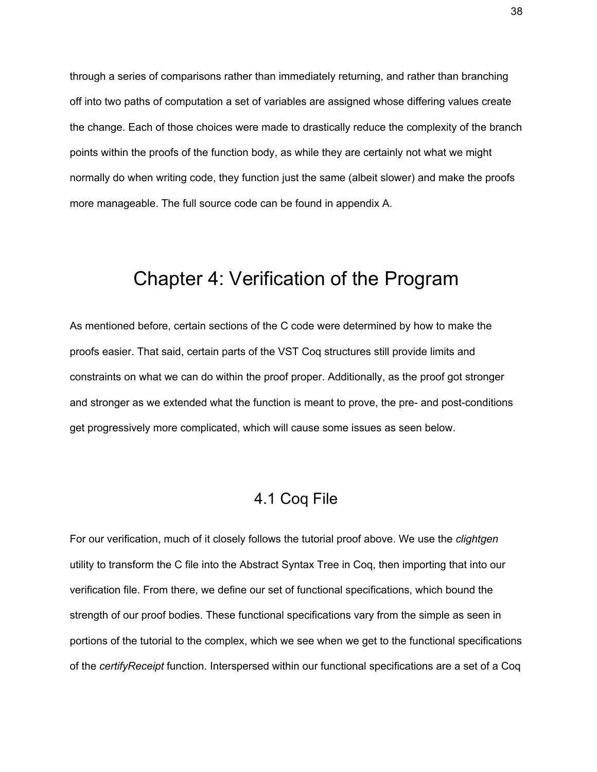through a series of comparisons rather than immediately returning, and rather than branching off into two paths of computation a set of variables are assigned whose differing values create the change. Each of those choices were made to drastically reduce the complexity of the branch points within the proofs of the function body, as while they are certainly not what we might normally do when writing code, they function just the same (albeit slower) and make the proofs more manageable. The full source code can be found in appendix A.

### <span id="page-38-0"></span>Chapter 4: Verification of the Program

As mentioned before, certain sections of the C code were determined by how to make the proofs easier. That said, certain parts of the VST Coq structures still provide limits and constraints on what we can do within the proof proper. Additionally, as the proof got stronger and stronger as we extended what the function is meant to prove, the pre- and post-conditions get progressively more complicated, which will cause some issues as seen below.

### 4.1 Coq File

<span id="page-38-1"></span>For our verification, much of it closely follows the tutorial proof above. We use the *clightgen* utility to transform the C file into the Abstract Syntax Tree in Coq, then importing that into our verification file. From there, we define our set of functional specifications, which bound the strength of our proof bodies. These functional specifications vary from the simple as seen in portions of the tutorial to the complex, which we see when we get to the functional specifications of the *certifyReceipt* function. Interspersed within our functional specifications are a set of a Coq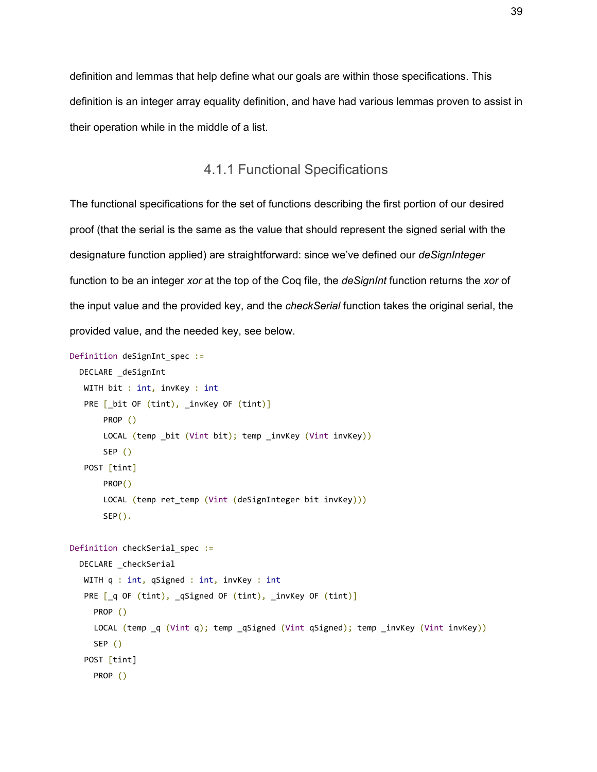definition and lemmas that help define what our goals are within those specifications. This definition is an integer array equality definition, and have had various lemmas proven to assist in their operation while in the middle of a list.

### 4.1.1 Functional Specifications

<span id="page-39-0"></span>The functional specifications for the set of functions describing the first portion of our desired proof (that the serial is the same as the value that should represent the signed serial with the designature function applied) are straightforward: since we've defined our *deSignInteger* function to be an integer *xor* at the top of the Coq file, the *deSignInt* function returns the *xor* of the input value and the provided key, and the *checkSerial* function takes the original serial, the provided value, and the needed key, see below.

```
Definition deSignInt_spec :=
  DECLARE deSignInt
   WITH bit : int, invKey : int
   PRE [_bit OF (tint), _invKey OF (tint)]
        PROP ()
       LOCAL (temp bit (Vint bit); temp invKey (Vint invKey))
        SEP ()
    POST [tint]
        PROP()
       LOCAL (temp ret_temp (Vint (deSignInteger bit invKey)))
       SEP().
Definition checkSerial spec :=
   DECLARE _checkSerial
   WITH q : int, qSigned : int, invKey : int
   PRE [ q OF (tint), qSigned OF (tint), _invKey OF (tint)]
      PROP ()
      LOCAL (temp _q (Vint q); temp _qSigned (Vint qSigned); temp _invKey (Vint invKey))
      SEP ()
    POST [tint]
      PROP ()
```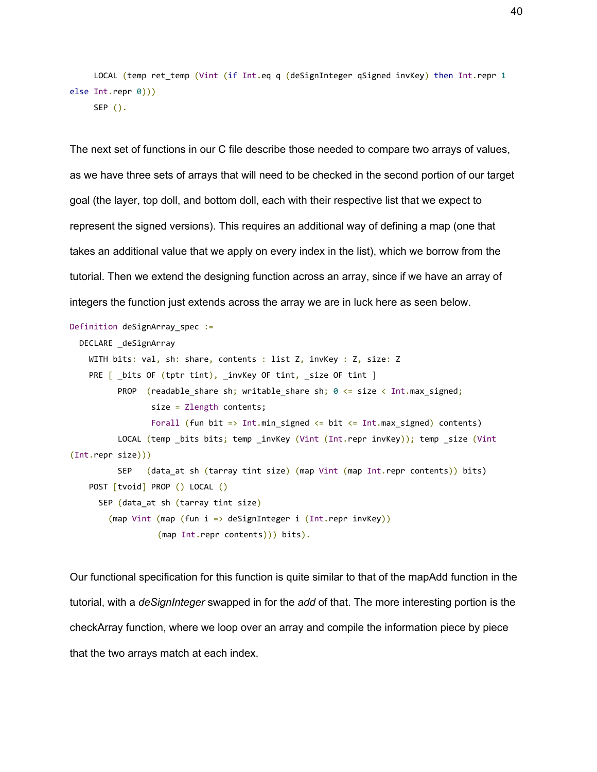```
LOCAL (temp ret temp (Vint (if Int.eq q (deSignInteger qSigned invKey) then Int.repr 1
else Int.repr 0)))
    SEP ().
```
The next set of functions in our C file describe those needed to compare two arrays of values, as we have three sets of arrays that will need to be checked in the second portion of our target goal (the layer, top doll, and bottom doll, each with their respective list that we expect to represent the signed versions). This requires an additional way of defining a map (one that takes an additional value that we apply on every index in the list), which we borrow from the tutorial. Then we extend the designing function across an array, since if we have an array of integers the function just extends across the array we are in luck here as seen below.

```
Definition deSignArray_spec :=
  DECLARE _deSignArray
   WITH bits: val, sh: share, contents : list Z, invKey : Z, size: Z
   PRE [ _bits OF (tptr tint), _invKey OF tint, _size OF tint ]
         PROP (readable_share sh; writable_share sh; 0 <= size < Int.max_signed;
                 size = Zlength contents;
                Forall (fun bit => Int.min signed <= bit <= Int.max signed) contents)
         LOCAL (temp bits bits; temp invKey (Vint (Int.repr invKey)); temp size (Vint
(Int.repr size)))
          SEP (data_at sh (tarray tint size) (map Vint (map Int.repr contents)) bits)
    POST [tvoid] PROP () LOCAL ()
      SEP (data_at sh (tarray tint size)
        (map Vint (map (fun i => deSignInteger i (Int.repr invKey))
                   (map Int.repr contents))) bits).
```
Our functional specification for this function is quite similar to that of the mapAdd function in the tutorial, with a *deSignInteger* swapped in for the *add* of that. The more interesting portion is the checkArray function, where we loop over an array and compile the information piece by piece that the two arrays match at each index.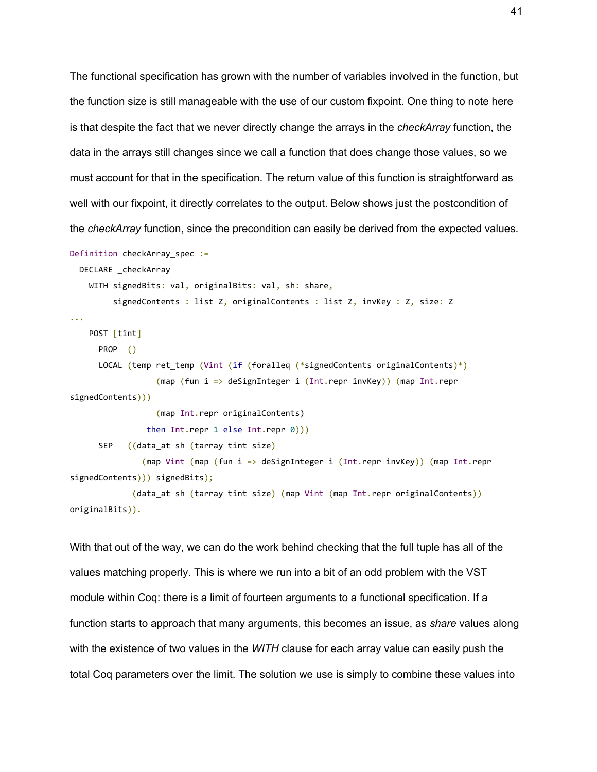The functional specification has grown with the number of variables involved in the function, but the function size is still manageable with the use of our custom fixpoint. One thing to note here is that despite the fact that we never directly change the arrays in the *checkArray* function, the data in the arrays still changes since we call a function that does change those values, so we must account for that in the specification. The return value of this function is straightforward as well with our fixpoint, it directly correlates to the output. Below shows just the postcondition of the *checkArray* function, since the precondition can easily be derived from the expected values.

```
Definition checkArray_spec :=
```

```
DECLARE checkArray
```
WITH signedBits: val, originalBits: val, sh: share,

signedContents : list Z, originalContents : list Z, invKey : Z, size: Z

```
...
```
POST [tint]

```
 PROP ()
```
 LOCAL (temp ret\_temp (Vint (if (foralleq (\*signedContents originalContents)\*) (map (fun i => deSignInteger i (Int.repr invKey)) (map Int.repr

signedContents)))

 (map Int.repr originalContents) then Int.repr 1 else Int.repr 0)))

```
 SEP ((data_at sh (tarray tint size)
```
 (map Vint (map (fun i => deSignInteger i (Int.repr invKey)) (map Int.repr signedContents))) signedBits);

```
 (data_at sh (tarray tint size) (map Vint (map Int.repr originalContents))
originalBits)).
```
With that out of the way, we can do the work behind checking that the full tuple has all of the values matching properly. This is where we run into a bit of an odd problem with the VST module within Coq: there is a limit of fourteen arguments to a functional specification. If a function starts to approach that many arguments, this becomes an issue, as *share* values along with the existence of two values in the *WITH* clause for each array value can easily push the total Coq parameters over the limit. The solution we use is simply to combine these values into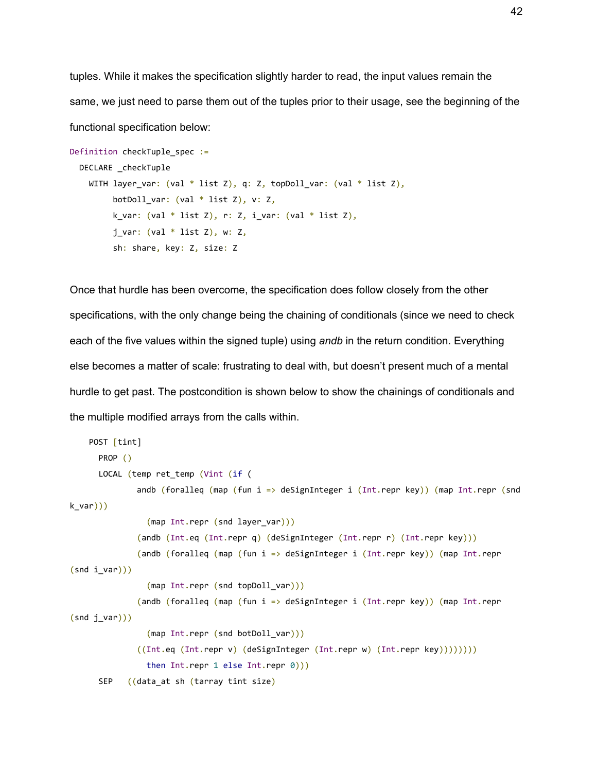tuples. While it makes the specification slightly harder to read, the input values remain the same, we just need to parse them out of the tuples prior to their usage, see the beginning of the functional specification below:

```
Definition checkTuple spec :=
  DECLARE _checkTuple
   WITH layer var: (val * list Z), q: Z, topDoll var: (val * list Z),
         botDoll var: (val * list Z), v: Z,
         k var: (val * list Z), r: Z, i var: (val * list Z),
         j_var: (val * list Z), w: Z,
          sh: share, key: Z, size: Z
```
Once that hurdle has been overcome, the specification does follow closely from the other specifications, with the only change being the chaining of conditionals (since we need to check each of the five values within the signed tuple) using *andb* in the return condition. Everything else becomes a matter of scale: frustrating to deal with, but doesn't present much of a mental hurdle to get past. The postcondition is shown below to show the chainings of conditionals and the multiple modified arrays from the calls within.

```
 POST [tint]
      PROP ()
       LOCAL (temp ret_temp (Vint (if (
              andb (foralleq (map (fun i => deSignInteger i (Int.repr key)) (map Int.repr (snd
k_var)))
                (map Int.repr (snd layer var)))
               (andb (Int.eq (Int.repr q) (deSignInteger (Int.repr r) (Int.repr key)))
               (andb (foralleq (map (fun i => deSignInteger i (Int.repr key)) (map Int.repr
(snd i_var)))(map Int.repr (snd topDoll var)))
               (andb (foralleq (map (fun i => deSignInteger i (Int.repr key)) (map Int.repr
(snd j_var))) (map Int.repr (snd botDoll_var)))
               ((Int.eq (Int.repr v) (deSignInteger (Int.repr w) (Int.repr key))))))))
                then Int.repr 1 else Int.repr 0)))
     SEP ((data at sh (tarray tint size)
```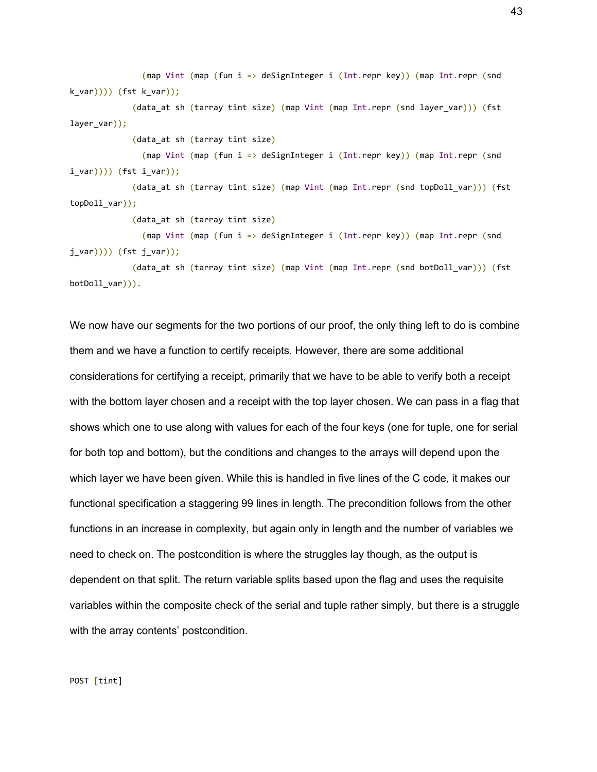(map Vint (map (fun i => deSignInteger i (Int.repr key)) (map Int.repr (snd k\_var)))) (fst k\_var));

 (data\_at sh (tarray tint size) (map Vint (map Int.repr (snd layer\_var))) (fst layer\_var));

(data\_at sh (tarray tint size)

 (map Vint (map (fun i => deSignInteger i (Int.repr key)) (map Int.repr (snd i\_var)))) (fst i\_var));

(data at sh (tarray tint size) (map Vint (map Int.repr (snd topDoll var))) (fst topDoll\_var));

(data\_at sh (tarray tint size)

 (map Vint (map (fun i => deSignInteger i (Int.repr key)) (map Int.repr (snd j\_var)))) (fst j\_var));

 (data\_at sh (tarray tint size) (map Vint (map Int.repr (snd botDoll\_var))) (fst botDoll\_var))).

We now have our segments for the two portions of our proof, the only thing left to do is combine them and we have a function to certify receipts. However, there are some additional considerations for certifying a receipt, primarily that we have to be able to verify both a receipt with the bottom layer chosen and a receipt with the top layer chosen. We can pass in a flag that shows which one to use along with values for each of the four keys (one for tuple, one for serial for both top and bottom), but the conditions and changes to the arrays will depend upon the which layer we have been given. While this is handled in five lines of the C code, it makes our functional specification a staggering 99 lines in length. The precondition follows from the other functions in an increase in complexity, but again only in length and the number of variables we need to check on. The postcondition is where the struggles lay though, as the output is dependent on that split. The return variable splits based upon the flag and uses the requisite variables within the composite check of the serial and tuple rather simply, but there is a struggle with the array contents' postcondition.

POST [tint]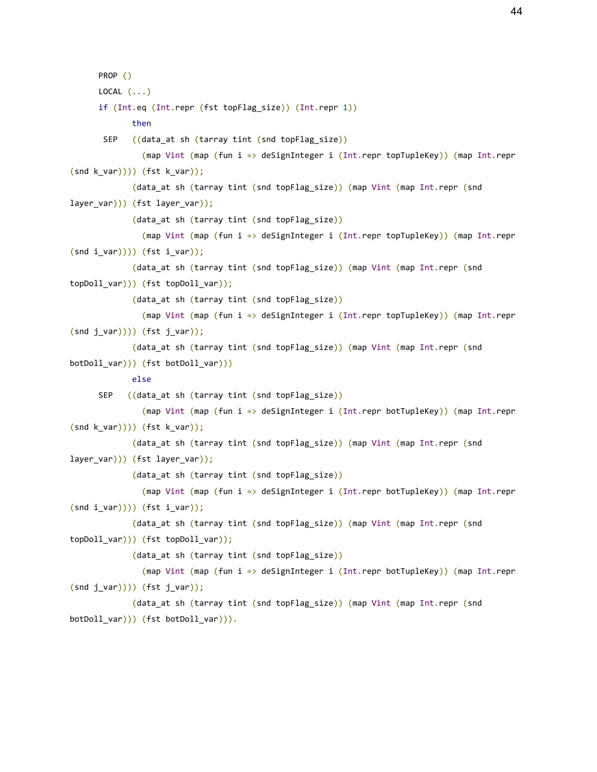PROP () LOCAL  $(\ldots)$  if (Int.eq (Int.repr (fst topFlag\_size)) (Int.repr 1)) then SEP ((data\_at sh (tarray tint (snd topFlag\_size)) (map Vint (map (fun i => deSignInteger i (Int.repr topTupleKey)) (map Int.repr  $(snd k_lvar)))$  (fst k\_var)); (data\_at sh (tarray tint (snd topFlag\_size)) (map Vint (map Int.repr (snd layer\_var))) (fst layer\_var)); (data\_at sh (tarray tint (snd topFlag\_size)) (map Vint (map (fun i => deSignInteger i (Int.repr topTupleKey)) (map Int.repr  $(snd i_lvar)))$  (fst  $i_lvar))$ ; (data\_at sh (tarray tint (snd topFlag\_size)) (map Vint (map Int.repr (snd topDoll\_var))) (fst topDoll\_var)); (data at sh (tarray tint (snd topFlag size)) (map Vint (map (fun i => deSignInteger i (Int.repr topTupleKey)) (map Int.repr  $(snd j_lvar)))$  (fst  $j_lvar))$ ; (data\_at sh (tarray tint (snd topFlag\_size)) (map Vint (map Int.repr (snd botDoll\_var))) (fst botDoll\_var))) else SEP ((data\_at sh (tarray tint (snd topFlag\_size)) (map Vint (map (fun i => deSignInteger i (Int.repr botTupleKey)) (map Int.repr  $(snd k var)))$  (fst k var)); (data at sh (tarray tint (snd topFlag size)) (map Vint (map Int.repr (snd layer\_var))) (fst layer\_var)); (data\_at sh (tarray tint (snd topFlag\_size)) (map Vint (map (fun i => deSignInteger i (Int.repr botTupleKey)) (map Int.repr  $(snd i_lvar)))$  (fst  $i_lvar))$ ; (data\_at sh (tarray tint (snd topFlag\_size)) (map Vint (map Int.repr (snd topDoll var))) (fst topDoll var)); (data at sh (tarray tint (snd topFlag size)) (map Vint (map (fun i => deSignInteger i (Int.repr botTupleKey)) (map Int.repr  $(snd j_lvar)))$  (fst  $j_lvar))$ ; (data\_at sh (tarray tint (snd topFlag\_size)) (map Vint (map Int.repr (snd botDoll\_var))) (fst botDoll\_var))).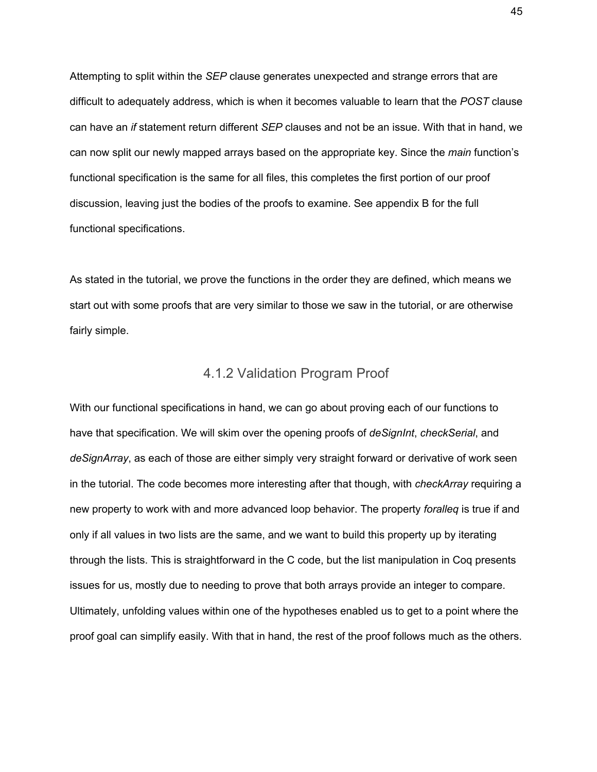Attempting to split within the *SEP* clause generates unexpected and strange errors that are difficult to adequately address, which is when it becomes valuable to learn that the *POST* clause can have an *if* statement return different *SEP* clauses and not be an issue. With that in hand, we can now split our newly mapped arrays based on the appropriate key. Since the *main* function's functional specification is the same for all files, this completes the first portion of our proof discussion, leaving just the bodies of the proofs to examine. See appendix B for the full functional specifications.

As stated in the tutorial, we prove the functions in the order they are defined, which means we start out with some proofs that are very similar to those we saw in the tutorial, or are otherwise fairly simple.

#### 4.1.2 Validation Program Proof

<span id="page-45-0"></span>With our functional specifications in hand, we can go about proving each of our functions to have that specification. We will skim over the opening proofs of *deSignInt*, *checkSerial*, and *deSignArray*, as each of those are either simply very straight forward or derivative of work seen in the tutorial. The code becomes more interesting after that though, with *checkArray* requiring a new property to work with and more advanced loop behavior. The property *foralleq* is true if and only if all values in two lists are the same, and we want to build this property up by iterating through the lists. This is straightforward in the C code, but the list manipulation in Coq presents issues for us, mostly due to needing to prove that both arrays provide an integer to compare. Ultimately, unfolding values within one of the hypotheses enabled us to get to a point where the proof goal can simplify easily. With that in hand, the rest of the proof follows much as the others.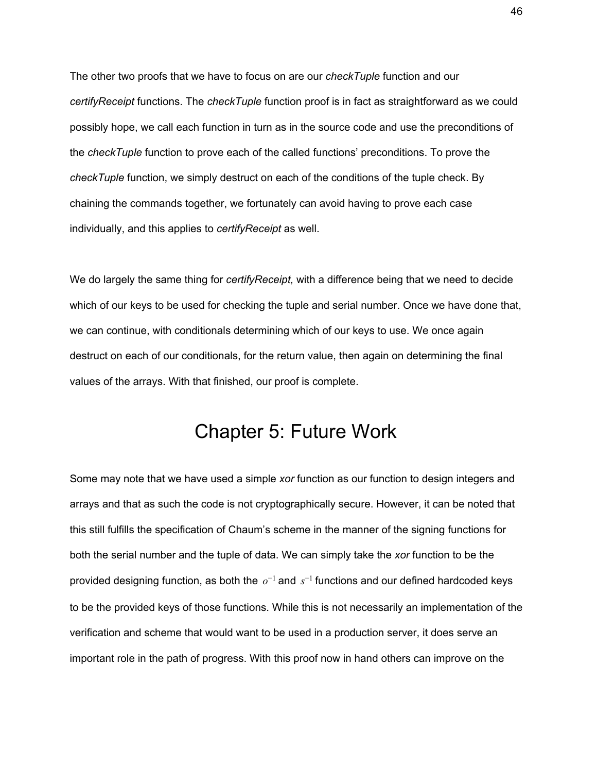The other two proofs that we have to focus on are our *checkTuple* function and our *certifyReceipt* functions. The *checkTuple* function proof is in fact as straightforward as we could possibly hope, we call each function in turn as in the source code and use the preconditions of the *checkTuple* function to prove each of the called functions' preconditions. To prove the *checkTuple* function, we simply destruct on each of the conditions of the tuple check. By chaining the commands together, we fortunately can avoid having to prove each case individually, and this applies to *certifyReceipt* as well.

We do largely the same thing for *certifyReceipt,* with a difference being that we need to decide which of our keys to be used for checking the tuple and serial number. Once we have done that, we can continue, with conditionals determining which of our keys to use. We once again destruct on each of our conditionals, for the return value, then again on determining the final values of the arrays. With that finished, our proof is complete.

## Chapter 5: Future Work

<span id="page-46-0"></span>Some may note that we have used a simple *xor* function as our function to design integers and arrays and that as such the code is not cryptographically secure. However, it can be noted that this still fulfills the specification of Chaum's scheme in the manner of the signing functions for both the serial number and the tuple of data. We can simply take the *xor* function to be the provided designing function, as both the  $o^{-1}$  and  $s^{-1}$  functions and our defined hardcoded keys to be the provided keys of those functions. While this is not necessarily an implementation of the verification and scheme that would want to be used in a production server, it does serve an important role in the path of progress. With this proof now in hand others can improve on the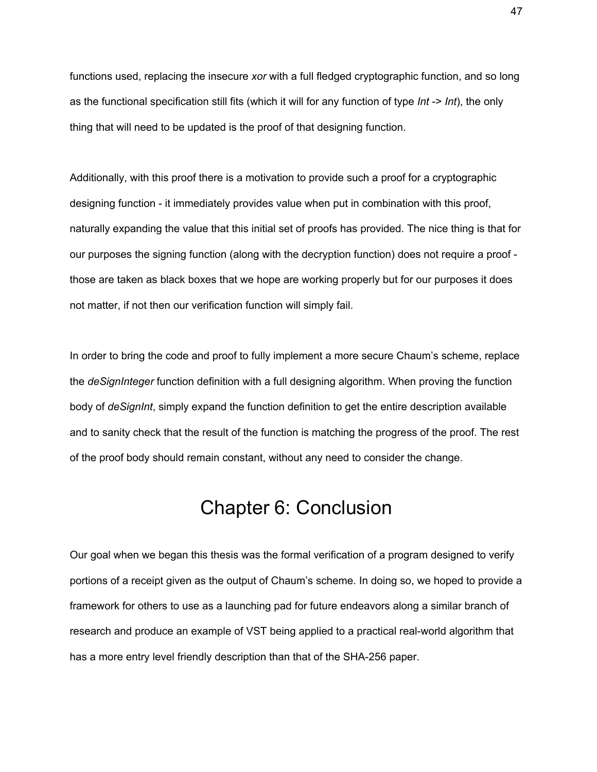functions used, replacing the insecure *xor* with a full fledged cryptographic function, and so long as the functional specification still fits (which it will for any function of type *Int* -> *Int*), the only thing that will need to be updated is the proof of that designing function.

Additionally, with this proof there is a motivation to provide such a proof for a cryptographic designing function - it immediately provides value when put in combination with this proof, naturally expanding the value that this initial set of proofs has provided. The nice thing is that for our purposes the signing function (along with the decryption function) does not require a proof those are taken as black boxes that we hope are working properly but for our purposes it does not matter, if not then our verification function will simply fail.

In order to bring the code and proof to fully implement a more secure Chaum's scheme, replace the *deSignInteger* function definition with a full designing algorithm. When proving the function body of *deSignInt*, simply expand the function definition to get the entire description available and to sanity check that the result of the function is matching the progress of the proof. The rest of the proof body should remain constant, without any need to consider the change.

## Chapter 6: Conclusion

<span id="page-47-0"></span>Our goal when we began this thesis was the formal verification of a program designed to verify portions of a receipt given as the output of Chaum's scheme. In doing so, we hoped to provide a framework for others to use as a launching pad for future endeavors along a similar branch of research and produce an example of VST being applied to a practical real-world algorithm that has a more entry level friendly description than that of the SHA-256 paper.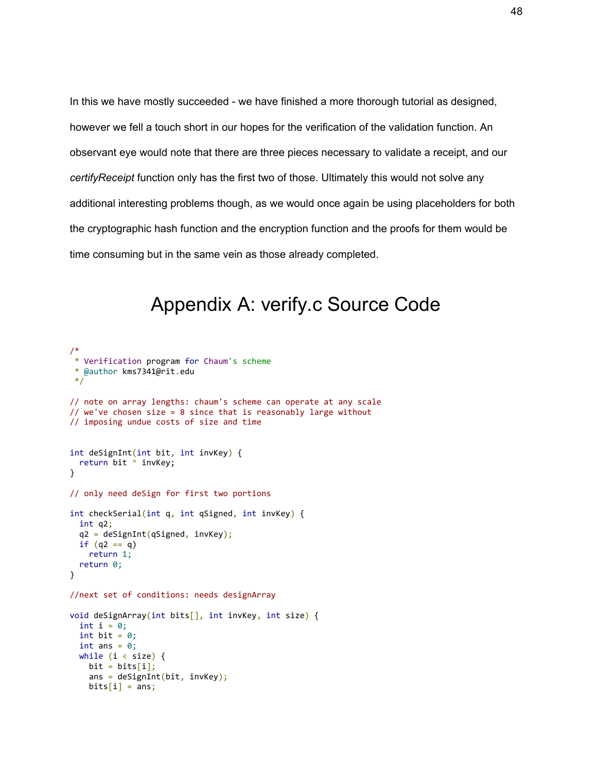In this we have mostly succeeded - we have finished a more thorough tutorial as designed, however we fell a touch short in our hopes for the verification of the validation function. An observant eye would note that there are three pieces necessary to validate a receipt, and our *certifyReceipt* function only has the first two of those. Ultimately this would not solve any additional interesting problems though, as we would once again be using placeholders for both the cryptographic hash function and the encryption function and the proofs for them would be time consuming but in the same vein as those already completed.

# Appendix A: verify.c Source Code

```
/*
* Verification program for Chaum's scheme
* @author kms7341@rit.edu
*/
// note on array lengths: chaum's scheme can operate at any scale
// we've chosen size = 8 since that is reasonably large without
// imposing undue costs of size and time
int deSignInt(int bit, int invKey) {
  return bit ^ invKey;
}
// only need deSign for first two portions
int checkSerial(int q, int qSigned, int invKey) {
   int q2;
   q2 = deSignInt(qSigned, invKey);
 if (q2 == q) return 1;
  return 0;
}
//next set of conditions: needs designArray
void deSignArray(int bits[], int invKey, int size) {
  int i = 0;
  int bit = 0;
  int ans = 0;
  while (i \lt size) {
   bit = bits[i];ans = deSignInt(bit, invKey);bits[i] = ans;
```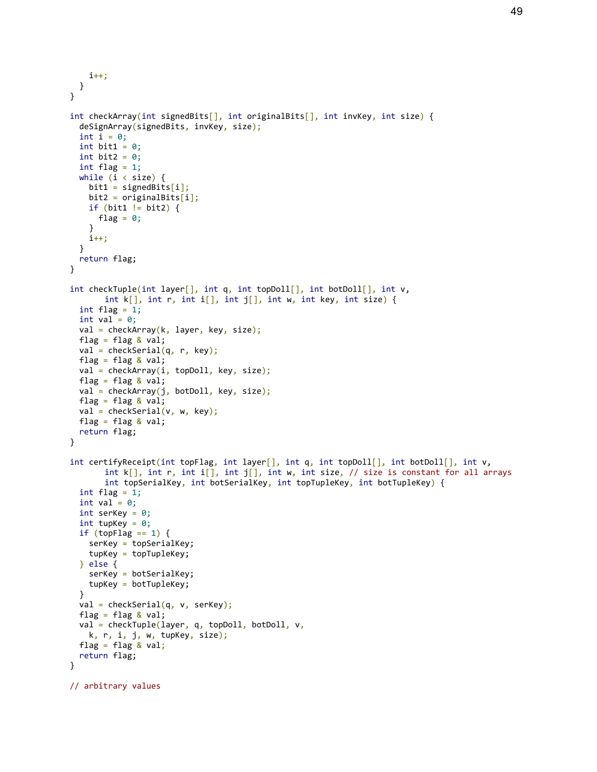```
 i++;
  }
}
int checkArray(int signedBits[], int originalBits[], int invKey, int size) {
   deSignArray(signedBits, invKey, size);
  int i = 0:
  int bit1 = 0;
  int bit2 = 0;
  int flag = 1;
  while (i \lt size) {
    bit1 = signedBits[i];bit2 = originalBits[i]; if (bit1 != bit2) {
      flag = 0;
     }
     i++;
   }
  return flag;
}
int checkTuple(int layer[], int q, int topDoll[], int botDoll[], int v,
       int k[], int r, int i[], int j[], int w, int key, int size) {
  int flag = 1;int val = 0;
  val = checkArray(k, layer, key, size);
  flag = flag & val;
  val = checkSerial(q, r, key);flag = flag & val;
  val = checkArray(i, topDoll, key, size);flag = flag & val;
   val = checkArray(j, botDoll, key, size);
  flag = flag & val;
  val = checkSerial(v, w, key);flag = flag \& val;
   return flag;
}
int certifyReceipt(int topFlag, int layer[], int q, int topDoll[], int botDoll[], int v,
       int k[], int r, int i[], int j[], int w, int size, // size is constant for all arrays
       int topSerialKey, int botSerialKey, int topTupleKey, int botTupleKey) {
  int flag = 1;
  int val = 0;
  int serKey = 0;
  int tupKey = 0;
  if (topFlag == 1) {
    serKey = topSerialKey;
    tupKey = topTupleKey;
   } else {
    serKey = botSerialKey;
     tupKey = botTupleKey;
   }
 val = checkSerial(q, v, serKey);
  flag = flag & val;
  val = checkTuple(layer, q, topDoll, botDoll, v,
     k, r, i, j, w, tupKey, size);
  flag = flag & val;
   return flag;
}
// arbitrary values
```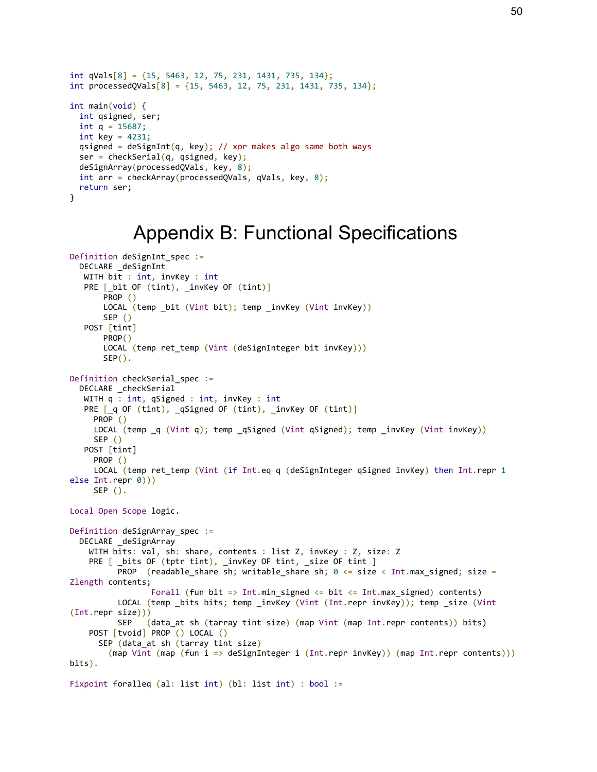```
int qVals[8] = \{15, 5463, 12, 75, 231, 1431, 735, 134\};int processedQVals[8] = \{15, 5463, 12, 75, 231, 1431, 735, 134\};
int main(void) {
  int qsigned, ser;
 int q = 15687;int key = 4231;
 qsigned = deSignInt(q, key); // xor makes algo same both ways
 ser = checkSerial(q, qsigned, key);
  deSignArray(processedQVals, key, 8);
  int arr = checkArray(processedQVals, qVals, key, 8);
  return ser;
}
```
### Appendix B: Functional Specifications

```
Definition deSignInt_spec :=
   DECLARE _deSignInt
   WITH bit : int, invKey : int
   PRE [_bit OF (tint), _invKey OF (tint)]
        PROP ()
       LOCAL (temp bit (Vint bit); temp invKey (Vint invKey))
        SEP ()
    POST [tint]
        PROP()
       LOCAL (temp ret_temp (Vint (deSignInteger bit invKey)))
       SEP().
Definition checkSerial_spec :=
  DECLARE checkSerial
   WITH q : int, qSigned : int, invKey : int
   PRE [_q OF (tint), _qSigned OF (tint), _invKey OF (tint)]
      PROP ()
     LOCAL (temp q (Vint q); temp qSigned (Vint qSigned); temp invKey (Vint invKey))
      SEP ()
    POST [tint]
      PROP ()
      LOCAL (temp ret_temp (Vint (if Int.eq q (deSignInteger qSigned invKey) then Int.repr 1
else Int.repr 0)))
     SEP().
Local Open Scope logic.
Definition deSignArray_spec :=
   DECLARE _deSignArray
    WITH bits: val, sh: share, contents : list Z, invKey : Z, size: Z
    PRE [ _bits OF (tptr tint), _invKey OF tint, _size OF tint ]
          PROP (readable_share sh; writable_share sh; \theta \leq size < Int.max_signed; size =
Zlength contents;
                 Forall (fun bit => Int.min signed \leq bit \leq Int.max signed) contents)
           LOCAL (temp _bits bits; temp _invKey (Vint (Int.repr invKey)); temp _size (Vint
(Int.repr size)))
           SEP (data_at sh (tarray tint size) (map Vint (map Int.repr contents)) bits)
     POST [tvoid] PROP () LOCAL ()
       SEP (data_at sh (tarray tint size)
         (map Vint (map (fun i => deSignInteger i (Int.repr invKey)) (map Int.repr contents)))
bits).
Fixpoint foralleq (al: list int) (bl: list int) : bool :=
```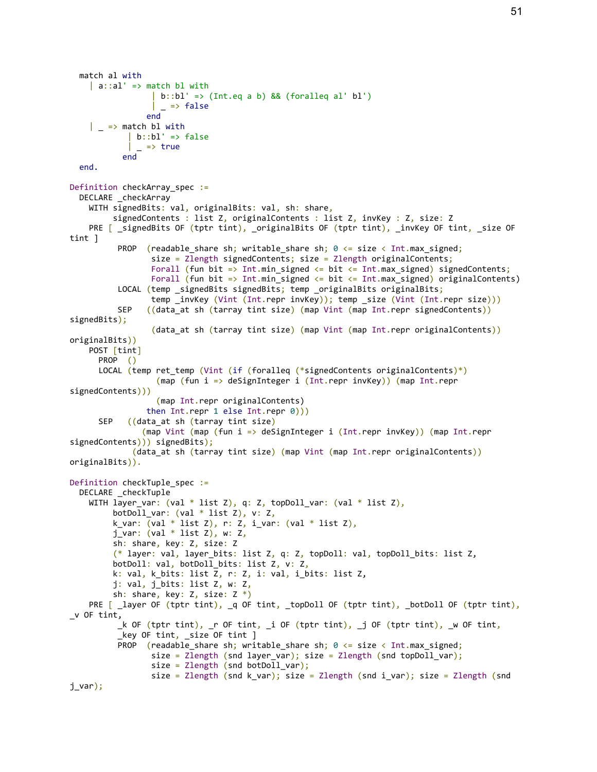```
 match al with
    | a::al' => match bl with
                  | b::bl' \Rightarrow (Int.eq a b) && (foralleq al' bl')\overline{\phantom{a}} => false
                 end
    \vert \vert => match bl with
            \vert b::bl' => false
            | = > true
            end
   end.
Definition checkArray spec :=
  DECLARE checkArray
     WITH signedBits: val, originalBits: val, sh: share,
          signedContents : list Z, originalContents : list Z, invKey : Z, size: Z
    PRE [ _signedBits OF (tptr tint), _originalBits OF (tptr tint), _invKey OF tint, _size OF
tint ]
          PROP (readable share sh; writable share sh; \theta \leq s size \lt Int.max signed;
                 size = Zlength signedContents; size = Zlength originalContents;
                 Forall (fun bit => Int.min_signed <= bit <= Int.max_signed) signedContents;
                  Forall (fun bit => Int.min_signed <= bit <= Int.max_signed) originalContents)
          LOCAL (temp _signedBits signedBits; temp _originalBits originalBits;
                  temp _invKey (Vint (Int.repr invKey)); temp _size (Vint (Int.repr size)))
          SEP ((data at sh (tarray tint size) (map Vint (map Int.repr signedContents))
signedBits);
                 (data at sh (tarray tint size) (map Vint (map Int.repr originalContents))
originalBits))
     POST [tint]
       PROP ()
      LOCAL (temp ret_temp (Vint (if (foralleq (*signedContents originalContents)*)
                    (map (fun i => deSignInteger i (Int.repr invKey)) (map Int.repr
signedContents)))
                    (map Int.repr originalContents)
                 then Int.repr 1 else Int.repr 0)))
      SEP ((data at sh (tarray tint size)
                (map Vint (map (fun i => deSignInteger i (Int.repr invKey)) (map Int.repr
signedContents))) signedBits);
             (data at sh (tarray tint size) (map Vint (map Int.repr originalContents))
originalBits)).
Definition checkTuple_spec :=
   DECLARE _checkTuple
    WITH layer_var: (val * list Z), q: Z, topDoll_var: (val * list Z),
          botDoll_var: (val * list Z), v: Z,
         k_var: eval * list Z), r: Z, i_var: eval * list Z),
         j_var: (val * list Z), w: Z,
          sh: share, key: Z, size: Z
          (* layer: val, layer_bits: list Z, q: Z, topDoll: val, topDoll_bits: list Z,
          botDoll: val, botDoll_bits: list Z, v: Z,
          k: val, k_bits: list Z, r: Z, i: val, i_bits: list Z,
          j: val, j_bits: list Z, w: Z,
          sh: share, key: Z, size: Z *)
    PRE [ _layer OF (tptr tint), _q OF tint, _topDoll OF (tptr tint), _botDoll OF (tptr tint),
_v OF tint,
          _k OF (tptr tint), _r OF tint, _i OF (tptr tint), _j OF (tptr tint), _w OF tint,
          key OF tint, size OF tint ]
          PROP (readable share sh; writable share sh; 0 \leq s size \leq Int.max signed;
                 size = Zlength (snd layer var); size = Zlength (snd topDoll var);
                 size = Zlength (snd botDoll_var);
                 size = Zlength (snd k var); size = Zlength (snd i var); size = Zlength (snd
j_var);
```
51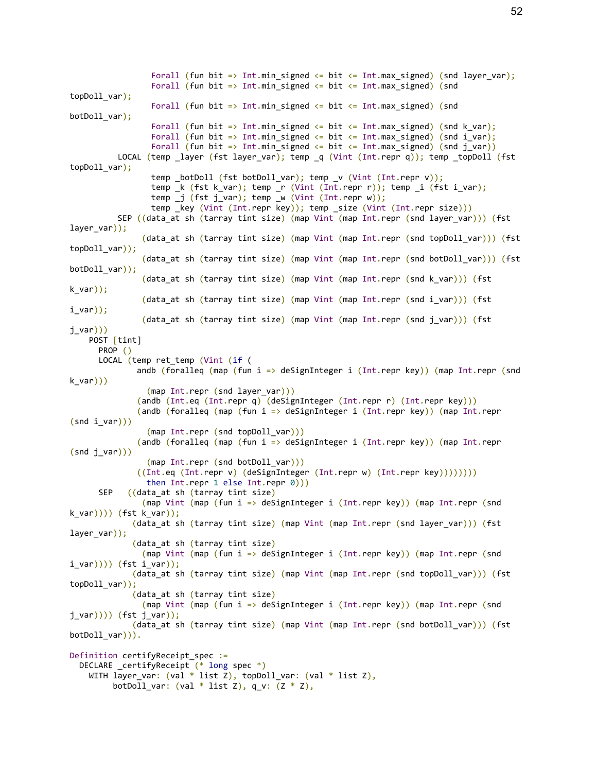Forall (fun bit => Int.min signed <= bit <= Int.max signed) (snd layer var); Forall (fun bit => Int.min signed  $\le$  bit  $\le$  Int.max signed) (snd topDoll\_var); Forall (fun bit => Int.min\_signed <= bit <= Int.max\_signed) (snd botDoll\_var); Forall (fun bit => Int.min signed  $\le$  bit  $\le$  Int.max signed) (snd k var); Forall (fun bit => Int.min signed <= bit <= Int.max signed) (snd i var); Forall (fun bit => Int.min signed <= bit <= Int.max signed) (snd j var)) LOCAL (temp \_layer (fst layer\_var); temp \_q (Vint (Int.repr q)); temp \_topDoll (fst topDoll\_var); temp botDoll (fst botDoll var); temp  $v$  (Vint (Int.repr v)); temp k (fst k var); temp r (Vint (Int.repr r)); temp i (fst i var); temp \_j (fst j\_var); temp \_w (Vint (Int.repr w)); temp \_key (Vint (Int.repr key)); temp \_size (Vint (Int.repr size))) SEP ((data\_at sh (tarray tint size) (map Vint (map Int.repr (snd layer\_var))) (fst layer\_var)); (data\_at sh (tarray tint size) (map Vint (map Int.repr (snd topDoll\_var))) (fst topDoll\_var)); (data\_at sh (tarray tint size) (map Vint (map Int.repr (snd botDoll\_var))) (fst botDoll\_var)); (data\_at sh (tarray tint size) (map Vint (map Int.repr (snd k\_var))) (fst k\_var)); (data at sh (tarray tint size) (map Vint (map Int.repr (snd i var))) (fst  $i$  var)); (data at sh (tarray tint size) (map Vint (map Int.repr (snd j var))) (fst  $j$ \_var $)))$  POST [tint] PROP () LOCAL (temp ret\_temp (Vint (if ( andb (foralleq (map (fun i => deSignInteger i (Int.repr key)) (map Int.repr (snd k\_var))) (map Int.repr (snd layer\_var))) (andb (Int.eq (Int.repr q) (deSignInteger (Int.repr r) (Int.repr key))) (andb (foralleq (map (fun i => deSignInteger i (Int.repr key)) (map Int.repr  $(snd i var))$  (map Int.repr (snd topDoll\_var))) (andb (foralleq (map (fun i => deSignInteger i (Int.repr key)) (map Int.repr  $(snd j_van))$  (map Int.repr (snd botDoll\_var))) ((Int.eq (Int.repr v) (deSignInteger (Int.repr w) (Int.repr key)))))))) then Int.repr 1 else Int.repr 0))) SEP ((data\_at sh (tarray tint size) (map Vint (map (fun i => deSignInteger i (Int.repr key)) (map Int.repr (snd k\_var)))) (fst k\_var)); (data\_at sh (tarray tint size) (map Vint (map Int.repr (snd layer\_var))) (fst layer\_var)); (data at sh (tarray tint size) (map Vint (map (fun i => deSignInteger i (Int.repr key)) (map Int.repr (snd  $i$  var)))) (fst  $i$  var)); (data\_at sh (tarray tint size) (map Vint (map Int.repr (snd topDoll\_var))) (fst topDoll\_var)); (data\_at sh (tarray tint size) (map Vint (map (fun i => deSignInteger i (Int.repr key)) (map Int.repr (snd  $j$  var $))$ )) (fst  $j$  var)); (data at sh (tarray tint size) (map Vint (map Int.repr (snd botDoll var))) (fst botDoll var))). Definition certifyReceipt\_spec := DECLARE \_certifyReceipt (\* long spec \*) WITH layer\_var: (val \* list Z), topDoll\_var: (val \* list Z), botDoll\_var: (val  $*$  list Z), q\_v:  $(Z * Z)$ ,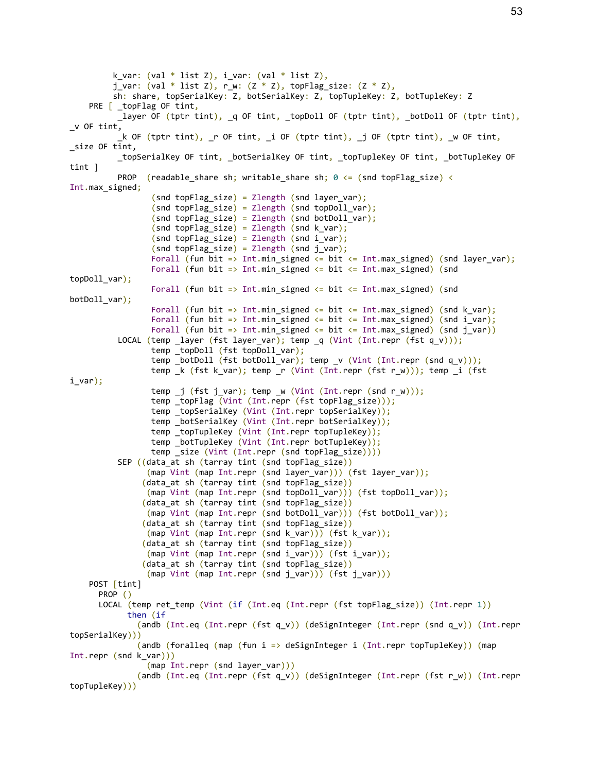k var: (val \* list Z), i\_var: (val \* list Z), j\_var: (val \* list Z), r\_w: (Z \* Z), topFlag\_size: (Z \* Z), sh: share, topSerialKey: Z, botSerialKey: Z, topTupleKey: Z, botTupleKey: Z PRE [ \_topFlag OF tint, \_layer OF (tptr tint), \_q OF tint, \_topDoll OF (tptr tint), \_botDoll OF (tptr tint),  $_{\mathsf{v}}$  OF tint. \_k OF (tptr tint), \_r OF tint, \_i OF (tptr tint), \_j OF (tptr tint), \_w OF tint, \_size OF tint, \_topSerialKey OF tint, \_botSerialKey OF tint, \_topTupleKey OF tint, \_botTupleKey OF tint ] PROP (readable share sh; writable share sh;  $0 \leq s$  (snd topFlag size)  $\leq$ Int.max\_signed;  $(snd topFlag size) = Zlength (snd layer var);$  $(snd topFlag_size) = Zlength (snd topDoll_var);$  $(snd topFlag_size) = Zlength (snd bottom)$ ;  $(snd topFlag_size) = Zlength (snd k_var);$  $(snd topFlag_size) = Zlength (snd i_var);$  $(snd topFlag_size) = Zlength (snd j_var);$ Forall (fun bit => Int.min signed  $\leq$  bit  $\leq$  Int.max signed) (snd layer var); Forall (fun bit => Int.min\_signed <= bit <= Int.max\_signed) (snd topDoll\_var); Forall (fun bit => Int.min\_signed <= bit <= Int.max\_signed) (snd botDoll\_var); Forall (fun bit => Int.min signed <= bit <= Int.max signed) (snd k var); Forall (fun bit => Int.min signed <= bit <= Int.max signed) (snd i var); Forall (fun bit => Int.min\_signed <= bit <= Int.max\_signed) (snd j\_var)) LOCAL (temp \_layer (fst layer\_var); temp  $q$  (Vint (Int.repr (fst  $q_v$ )); temp \_topDoll (fst topDoll\_var); temp \_botDoll (fst botDoll\_var); temp \_v (Vint (Int.repr (snd q\_v))); temp \_k (fst k\_var); temp \_r (Vint (Int.repr (fst r\_w))); temp \_i (fst i\_var); temp \_j (fst j\_var); temp \_w (Vint (Int.repr (snd r\_w))); temp \_topFlag (Vint (Int.repr (fst topFlag\_size))); temp \_topSerialKey (Vint (Int.repr topSerialKey)); temp \_botSerialKey (Vint (Int.repr botSerialKey)); temp \_topTupleKey (Vint (Int.repr topTupleKey)); temp botTupleKey (Vint (Int.repr botTupleKey)); temp size (Vint (Int.repr (snd topFlag\_size)))) SEP ((data\_at sh (tarray tint (snd topFlag\_size)) (map Vint (map Int.repr (snd layer\_var))) (fst layer\_var)); (data\_at sh (tarray tint (snd topFlag\_size)) (map Vint (map Int.repr (snd topDoll\_var))) (fst topDoll\_var)); (data\_at sh (tarray tint (snd topFlag\_size)) (map Vint (map Int.repr (snd botDoll\_var))) (fst botDoll\_var)); (data\_at sh (tarray tint (snd topFlag\_size)) (map Vint (map Int.repr (snd k\_var))) (fst k\_var)); (data at sh (tarray tint (snd topFlag\_size)) (map Vint (map Int.repr (snd i var))) (fst i var)); (data at sh (tarray tint (snd topFlag size)) (map Vint (map Int.repr (snd j\_var))) (fst j\_var))) POST [tint] PROP () LOCAL (temp ret\_temp (Vint (if (Int.eq (Int.repr (fst topFlag\_size)) (Int.repr 1)) then (if (andb (Int.eq (Int.repr (fst q\_v)) (deSignInteger (Int.repr (snd q\_v)) (Int.repr topSerialKey))) (andb (foralleq (map (fun i => deSignInteger i (Int.repr topTupleKey)) (map Int.repr (snd k\_var))) (map Int.repr (snd layer var))) (andb (Int.eq (Int.repr (fst q\_v)) (deSignInteger (Int.repr (fst r\_w)) (Int.repr topTupleKey)))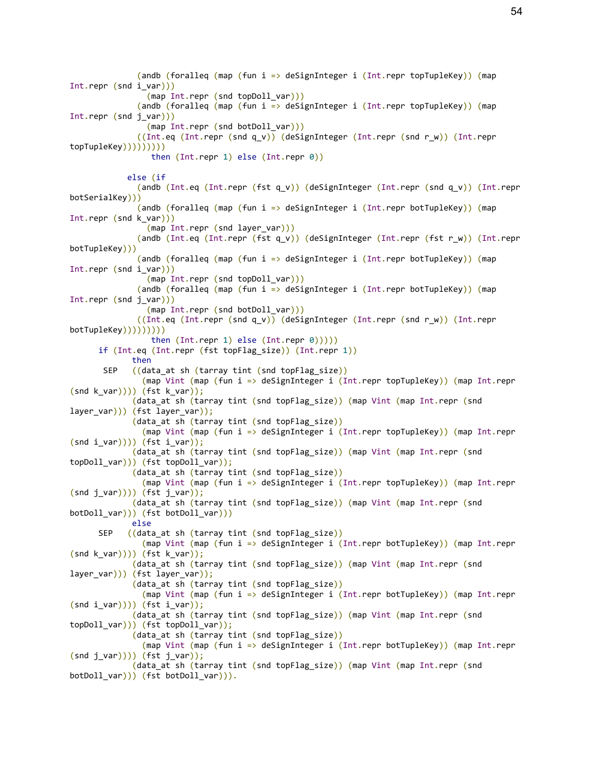(andb (foralleq (map (fun i => deSignInteger i (Int.repr topTupleKey)) (map Int.repr (snd i var))) (map Int.repr (snd topDoll\_var))) (andb (foralleq (map (fun i => deSignInteger i (Int.repr topTupleKey)) (map Int.repr (snd j\_var))) (map Int.repr (snd botDoll var))) ((Int.eq (Int.repr (snd q\_v)) (deSignInteger (Int.repr (snd r\_w)) (Int.repr topTupleKey))))))))) then  $(Int.repr 1)$  else  $(int.repr 0)$  else (if (andb (Int.eq (Int.repr (fst q\_v)) (deSignInteger (Int.repr (snd q\_v)) (Int.repr botSerialKey))) (andb (foralleq (map (fun i => deSignInteger i (Int.repr botTupleKey)) (map Int.repr (snd k\_var))) (map Int.repr (snd layer\_var))) (andb (Int.eq (Int.repr (fst q\_v)) (deSignInteger (Int.repr (fst r\_w)) (Int.repr botTupleKey))) (andb (foralleq (map (fun i => deSignInteger i (Int.repr botTupleKey)) (map Int.repr (snd i\_var))) (map Int.repr (snd topDoll\_var))) (andb (foralleq (map (fun i => deSignInteger i (Int.repr botTupleKey)) (map Int.repr (snd j\_var))) (map Int.repr (snd botDoll\_var))) ((Int.eq (Int.repr (snd q\_v)) (deSignInteger (Int.repr (snd r\_w)) (Int.repr botTupleKey))))))))) then  $(Int.repr 1) else (Int.repr 0))))$  if (Int.eq (Int.repr (fst topFlag\_size)) (Int.repr 1)) then SEP ((data\_at sh (tarray tint (snd topFlag\_size)) (map Vint (map (fun i => deSignInteger i (Int.repr topTupleKey)) (map Int.repr  $(snd k_lvar)))$  (fst k\_var)); (data\_at sh (tarray tint (snd topFlag\_size)) (map Vint (map Int.repr (snd layer\_var))) (fst layer\_var)); (data at sh (tarray tint (snd topFlag size)) (map Vint (map (fun i => deSignInteger i (Int.repr topTupleKey)) (map Int.repr  $(snd i var)))$  (fst i var)); (data\_at sh (tarray tint (snd topFlag\_size)) (map Vint (map Int.repr (snd topDoll\_var))) (fst topDoll\_var)); (data\_at sh (tarray tint (snd topFlag\_size)) (map Vint (map (fun i => deSignInteger i (Int.repr topTupleKey)) (map Int.repr  $(snd j_lvar)))$  (fst  $j_lvar))$ ; (data\_at sh (tarray tint (snd topFlag\_size)) (map Vint (map Int.repr (snd botDoll\_var))) (fst botDoll\_var))) else SEP ((data\_at sh (tarray tint (snd topFlag\_size)) (map Vint (map (fun i => deSignInteger i (Int.repr botTupleKey)) (map Int.repr  $(snd k var))$ )) (fst k var)); (data\_at sh (tarray tint (snd topFlag\_size)) (map Vint (map Int.repr (snd layer\_var))) (fst layer\_var)); (data\_at sh (tarray tint (snd topFlag\_size)) (map Vint (map (fun i => deSignInteger i (Int.repr botTupleKey)) (map Int.repr  $(snd i_var)))$  (fst i var)); (data at sh (tarray tint (snd topFlag size)) (map Vint (map Int.repr (snd  $topDoll var))$  (fst topDoll var)); (data at sh (tarray tint (snd topFlag size)) (map Vint (map (fun i => deSignInteger i (Int.repr botTupleKey)) (map Int.repr  $(snd \text{ j} var))$ )) (fst j var)); (data\_at sh (tarray tint (snd topFlag\_size)) (map Vint (map Int.repr (snd botDoll\_var))) (fst botDoll\_var))).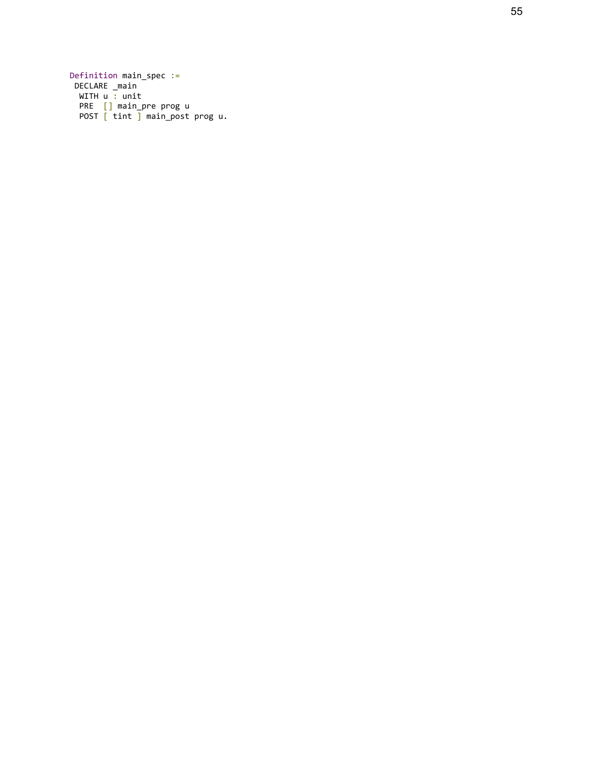Definition main\_spec := DECLARE \_main WITH u : unit PRE [] main\_pre prog u POST [ tint ] main\_post prog u.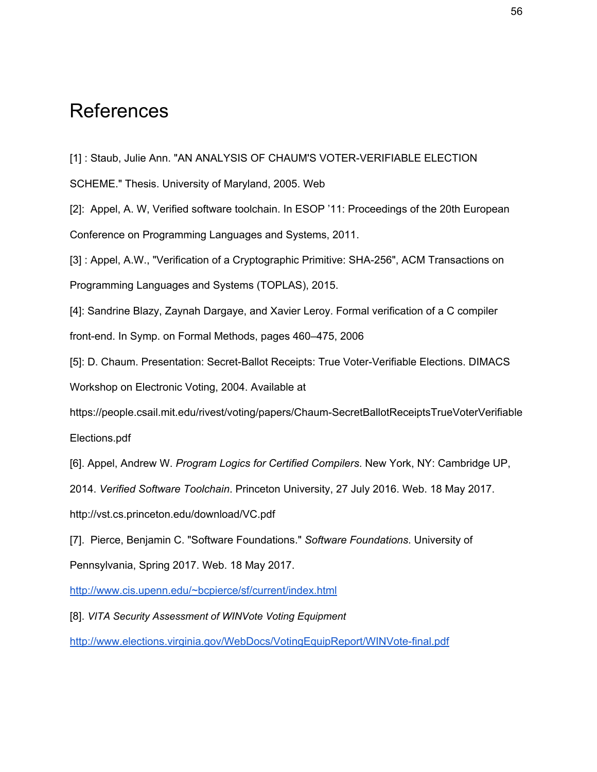## <span id="page-56-0"></span>**References**

[1] : Staub, Julie Ann. "AN ANALYSIS OF CHAUM'S VOTER-VERIFIABLE ELECTION

SCHEME." Thesis. University of Maryland, 2005. Web

[2]: Appel, A. W, Verified software toolchain. In ESOP '11: Proceedings of the 20th European Conference on Programming Languages and Systems, 2011.

[3] : Appel, A.W., "Verification of a Cryptographic Primitive: SHA-256", ACM Transactions on Programming Languages and Systems (TOPLAS), 2015.

[4]: Sandrine Blazy, Zaynah Dargaye, and Xavier Leroy. Formal verification of a C compiler front-end. In Symp. on Formal Methods, pages 460–475, 2006

[5]: D. Chaum. Presentation: Secret-Ballot Receipts: True Voter-Verifiable Elections. DIMACS Workshop on Electronic Voting, 2004. Available at

https://people.csail.mit.edu/rivest/voting/papers/Chaum-SecretBallotReceiptsTrueVoterVerifiable Elections.pdf

[6]. Appel, Andrew W. *Program Logics for Certified Compilers*. New York, NY: Cambridge UP,

2014. *Verified Software Toolchain*. Princeton University, 27 July 2016. Web. 18 May 2017.

http://vst.cs.princeton.edu/download/VC.pdf

[7]. Pierce, Benjamin C. "Software Foundations." *Software Foundations*. University of

Pennsylvania, Spring 2017. Web. 18 May 2017.

<http://www.cis.upenn.edu/~bcpierce/sf/current/index.html>

[8]. *VITA Security Assessment of WINVote Voting Equipment*

<http://www.elections.virginia.gov/WebDocs/VotingEquipReport/WINVote-final.pdf>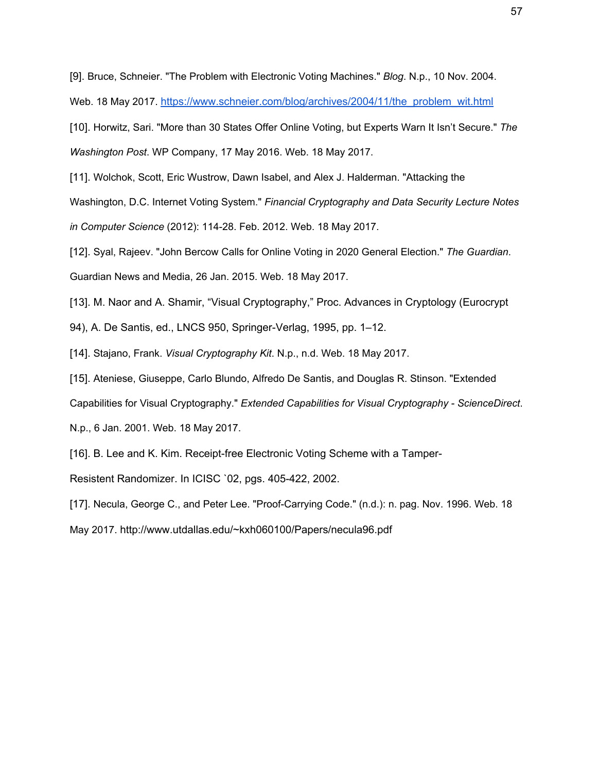[9]. Bruce, Schneier. "The Problem with Electronic Voting Machines." *Blog*. N.p., 10 Nov. 2004.

Web. 18 May 2017. [https://www.schneier.com/blog/archives/2004/11/the\\_problem\\_wit.html](https://www.schneier.com/blog/archives/2004/11/the_problem_wit.html)

[10]. Horwitz, Sari. "More than 30 States Offer Online Voting, but Experts Warn It Isn't Secure." *The Washington Post*. WP Company, 17 May 2016. Web. 18 May 2017.

[11]. Wolchok, Scott, Eric Wustrow, Dawn Isabel, and Alex J. Halderman. "Attacking the

Washington, D.C. Internet Voting System." *Financial Cryptography and Data Security Lecture Notes in Computer Science* (2012): 114-28. Feb. 2012. Web. 18 May 2017.

[12]. Syal, Rajeev. "John Bercow Calls for Online Voting in 2020 General Election." *The Guardian*. Guardian News and Media, 26 Jan. 2015. Web. 18 May 2017.

[13]. M. Naor and A. Shamir, "Visual Cryptography," Proc. Advances in Cryptology (Eurocrypt

94), A. De Santis, ed., LNCS 950, Springer-Verlag, 1995, pp. 1–12.

[14]. Stajano, Frank. *Visual Cryptography Kit*. N.p., n.d. Web. 18 May 2017.

[15]. Ateniese, Giuseppe, Carlo Blundo, Alfredo De Santis, and Douglas R. Stinson. "Extended

Capabilities for Visual Cryptography." *Extended Capabilities for Visual Cryptography - ScienceDirect*.

N.p., 6 Jan. 2001. Web. 18 May 2017.

[16]. B. Lee and K. Kim. Receipt-free Electronic Voting Scheme with a Tamper-

Resistent Randomizer. In ICISC `02, pgs. 405-422, 2002.

[17]. Necula, George C., and Peter Lee. "Proof-Carrying Code." (n.d.): n. pag. Nov. 1996. Web. 18

May 2017. http://www.utdallas.edu/~kxh060100/Papers/necula96.pdf